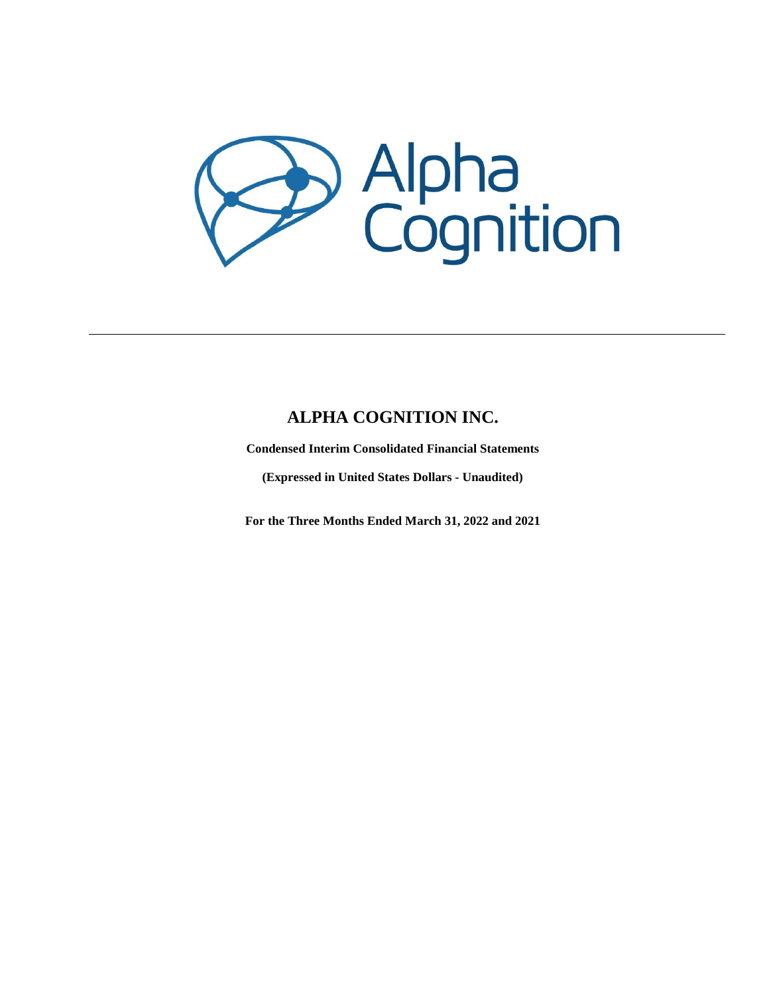

# **ALPHA COGNITION INC.**

**Condensed Interim Consolidated Financial Statements**

**(Expressed in United States Dollars - Unaudited)**

**For the Three Months Ended March 31, 2022 and 2021**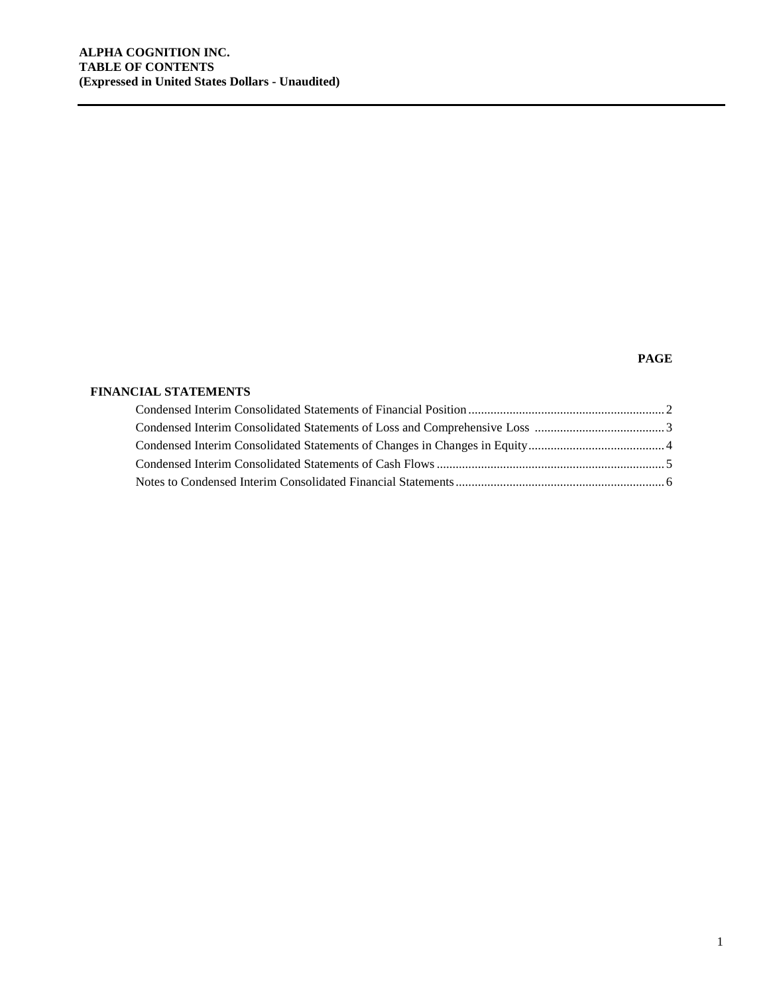# **PAGE**

# **FINANCIAL STATEMENTS**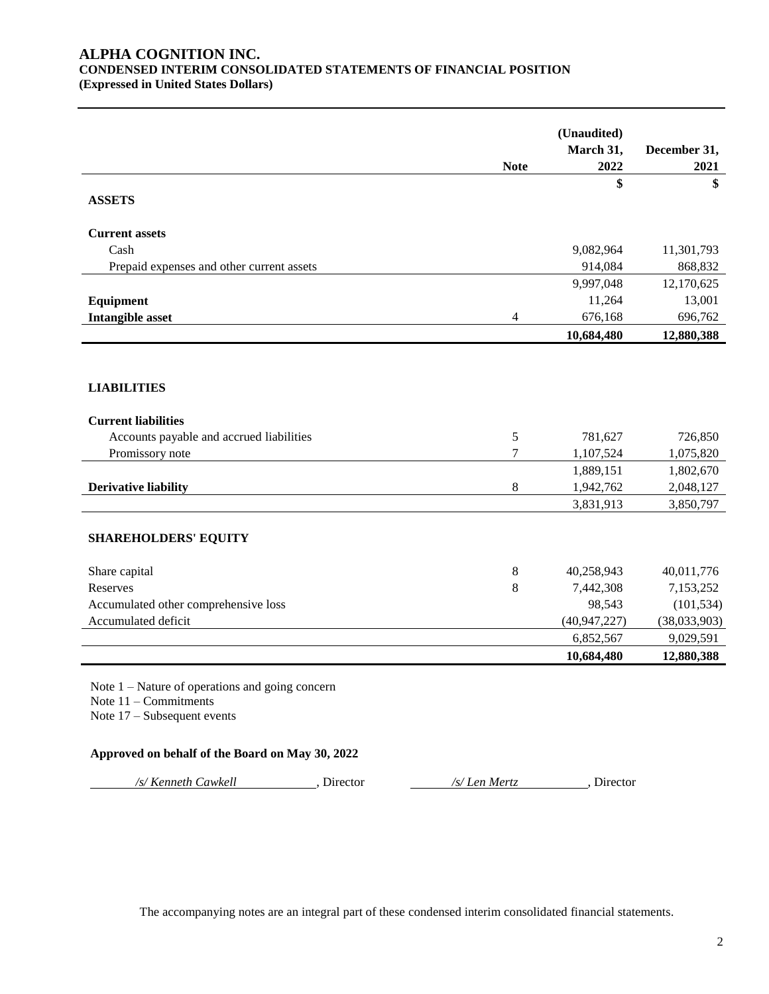# **ALPHA COGNITION INC. CONDENSED INTERIM CONSOLIDATED STATEMENTS OF FINANCIAL POSITION (Expressed in United States Dollars)**

|                                                   |             | (Unaudited)       |                      |
|---------------------------------------------------|-------------|-------------------|----------------------|
|                                                   | <b>Note</b> | March 31,<br>2022 | December 31,<br>2021 |
|                                                   |             | \$                | \$                   |
| <b>ASSETS</b>                                     |             |                   |                      |
| <b>Current assets</b>                             |             |                   |                      |
| Cash                                              |             | 9,082,964         | 11,301,793           |
| Prepaid expenses and other current assets         |             | 914,084           | 868,832              |
|                                                   |             | 9,997,048         | 12,170,625           |
| Equipment                                         |             | 11,264            | 13,001               |
| Intangible asset                                  | 4           | 676,168           | 696,762              |
|                                                   |             | 10,684,480        | 12,880,388           |
|                                                   |             |                   |                      |
|                                                   |             |                   |                      |
| <b>LIABILITIES</b>                                |             |                   |                      |
| <b>Current liabilities</b>                        |             |                   |                      |
| Accounts payable and accrued liabilities          | 5           | 781,627           | 726,850              |
| Promissory note                                   | 7           | 1,107,524         | 1,075,820            |
|                                                   |             | 1,889,151         | 1,802,670            |
| <b>Derivative liability</b>                       | 8           | 1,942,762         | 2,048,127            |
|                                                   |             | 3,831,913         | 3,850,797            |
|                                                   |             |                   |                      |
| <b>SHAREHOLDERS' EQUITY</b>                       |             |                   |                      |
| Share capital                                     | 8           | 40,258,943        | 40,011,776           |
| Reserves                                          | 8           | 7,442,308         | 7,153,252            |
| Accumulated other comprehensive loss              |             | 98,543            | (101, 534)           |
| Accumulated deficit                               |             | (40, 947, 227)    | (38,033,903)         |
|                                                   |             | 6,852,567         | 9,029,591            |
|                                                   |             | 10,684,480        | 12,880,388           |
| Note $1 -$ Nature of operations and going concern |             |                   |                      |
| Note $11$ – Commitments                           |             |                   |                      |
| Note $17 -$ Subsequent events                     |             |                   |                      |
|                                                   |             |                   |                      |
| Approved on behalf of the Board on May 30, 2022   |             |                   |                      |

*/s/ Kenneth Cawkell* , Director */s/ Len Mertz* , Director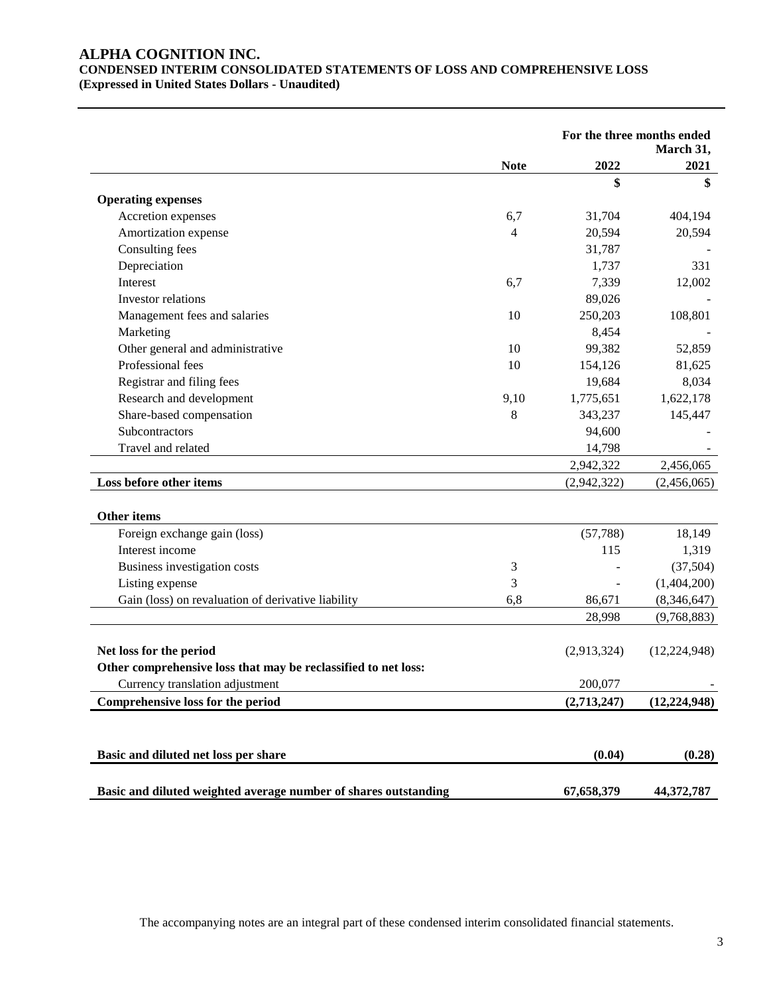# **ALPHA COGNITION INC. CONDENSED INTERIM CONSOLIDATED STATEMENTS OF LOSS AND COMPREHENSIVE LOSS (Expressed in United States Dollars - Unaudited)**

|                                                                 |             |             | For the three months ended<br>March 31, |  |
|-----------------------------------------------------------------|-------------|-------------|-----------------------------------------|--|
|                                                                 | <b>Note</b> | 2022        | 2021                                    |  |
|                                                                 |             | \$          | \$                                      |  |
| <b>Operating expenses</b>                                       |             |             |                                         |  |
| Accretion expenses                                              | 6,7         | 31,704      | 404,194                                 |  |
| Amortization expense                                            | 4           | 20,594      | 20,594                                  |  |
| Consulting fees                                                 |             | 31,787      |                                         |  |
| Depreciation                                                    |             | 1,737       | 331                                     |  |
| Interest                                                        | 6,7         | 7,339       | 12,002                                  |  |
| Investor relations                                              |             | 89,026      |                                         |  |
| Management fees and salaries                                    | 10          | 250,203     | 108,801                                 |  |
| Marketing                                                       |             | 8,454       |                                         |  |
| Other general and administrative                                | 10          | 99,382      | 52,859                                  |  |
| Professional fees                                               | 10          | 154,126     | 81,625                                  |  |
| Registrar and filing fees                                       |             | 19,684      | 8,034                                   |  |
| Research and development                                        | 9,10        | 1,775,651   | 1,622,178                               |  |
| Share-based compensation                                        | 8           | 343,237     | 145,447                                 |  |
| Subcontractors                                                  |             | 94,600      |                                         |  |
| Travel and related                                              |             | 14,798      |                                         |  |
|                                                                 |             | 2,942,322   | 2,456,065                               |  |
| Loss before other items                                         |             | (2,942,322) | (2,456,065)                             |  |
| <b>Other items</b>                                              |             |             |                                         |  |
| Foreign exchange gain (loss)                                    |             | (57, 788)   | 18,149                                  |  |
| Interest income                                                 |             | 115         | 1,319                                   |  |
| Business investigation costs                                    | 3           |             | (37,504)                                |  |
| Listing expense                                                 | 3           |             | (1,404,200)                             |  |
| Gain (loss) on revaluation of derivative liability              | 6,8         | 86,671      | (8,346,647)                             |  |
|                                                                 |             | 28,998      | (9,768,883)                             |  |
| Net loss for the period                                         |             | (2,913,324) | (12, 224, 948)                          |  |
| Other comprehensive loss that may be reclassified to net loss:  |             |             |                                         |  |
| Currency translation adjustment                                 |             | 200,077     |                                         |  |
| Comprehensive loss for the period                               |             | (2,713,247) | (12, 224, 948)                          |  |
|                                                                 |             |             |                                         |  |
| Basic and diluted net loss per share                            |             | (0.04)      | (0.28)                                  |  |
| Basic and diluted weighted average number of shares outstanding |             | 67,658,379  | 44,372,787                              |  |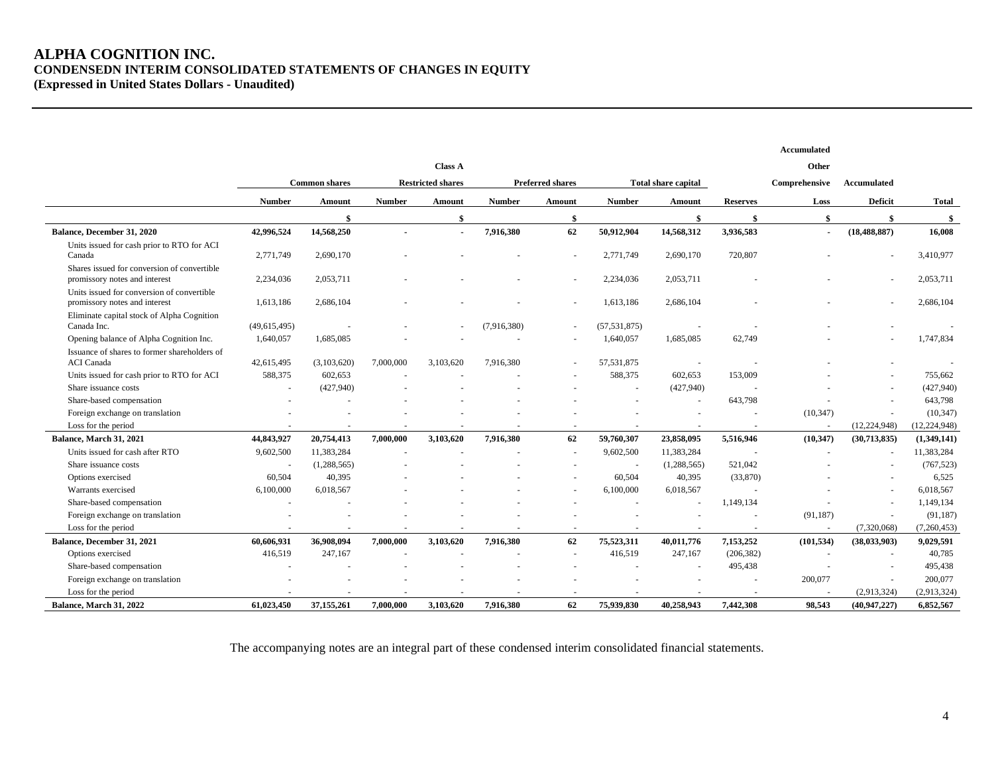# **ALPHA COGNITION INC. CONDENSEDN INTERIM CONSOLIDATED STATEMENTS OF CHANGES IN EQUITY (Expressed in United States Dollars - Unaudited)**

|                                                                              |                |                      |               |                          |               |                         |                |                     |                 | Accumulated    |                |                |
|------------------------------------------------------------------------------|----------------|----------------------|---------------|--------------------------|---------------|-------------------------|----------------|---------------------|-----------------|----------------|----------------|----------------|
|                                                                              |                |                      |               | <b>Class A</b>           |               |                         |                |                     |                 | Other          |                |                |
|                                                                              |                | <b>Common shares</b> |               | <b>Restricted shares</b> |               | <b>Preferred shares</b> |                | Total share capital |                 | Comprehensive  | Accumulated    |                |
|                                                                              | <b>Number</b>  | Amount               | <b>Number</b> | <b>Amount</b>            | <b>Number</b> | Amount                  | <b>Number</b>  | <b>Amount</b>       | <b>Reserves</b> | Loss           | <b>Deficit</b> | <b>Total</b>   |
|                                                                              |                | \$                   |               | $\mathbf{\$}$            |               | \$                      |                | \$                  | \$              | \$             | \$             | -\$            |
| Balance, December 31, 2020                                                   | 42,996,524     | 14,568,250           |               | $\blacksquare$           | 7,916,380     | 62                      | 50,912,904     | 14,568,312          | 3,936,583       | $\blacksquare$ | (18, 488, 887) | 16.008         |
| Units issued for cash prior to RTO for ACI<br>Canada                         | 2,771,749      | 2,690,170            |               |                          |               |                         | 2,771,749      | 2,690,170           | 720,807         |                |                | 3,410,977      |
| Shares issued for conversion of convertible<br>promissory notes and interest | 2,234,036      | 2,053,711            |               |                          |               |                         | 2,234,036      | 2,053,711           |                 |                |                | 2,053,711      |
| Units issued for conversion of convertible<br>promissory notes and interest  | 1,613,186      | 2,686,104            |               |                          |               |                         | 1,613,186      | 2,686,104           |                 |                |                | 2,686,104      |
| Eliminate capital stock of Alpha Cognition<br>Canada Inc.                    | (49, 615, 495) |                      |               |                          | (7,916,380)   |                         | (57, 531, 875) |                     |                 |                |                |                |
| Opening balance of Alpha Cognition Inc.                                      | 1,640,057      | 1,685,085            |               |                          |               |                         | 1,640,057      | 1,685,085           | 62,749          |                |                | 1,747,834      |
| Issuance of shares to former shareholders of<br><b>ACI</b> Canada            | 42,615,495     | (3,103,620)          | 7,000,000     | 3.103.620                | 7.916.380     |                         | 57,531,875     |                     |                 |                |                |                |
| Units issued for cash prior to RTO for ACI                                   | 588,375        | 602,653              |               |                          |               |                         | 588,375        | 602,653             | 153,009         |                |                | 755,662        |
| Share issuance costs                                                         |                | (427,940)            |               |                          |               |                         |                | (427,940)           |                 |                |                | (427,940)      |
| Share-based compensation                                                     |                |                      |               |                          |               |                         |                | $\sim$              | 643,798         |                |                | 643,798        |
| Foreign exchange on translation                                              |                |                      |               |                          |               |                         |                |                     |                 | (10, 347)      |                | (10, 347)      |
| Loss for the period                                                          |                |                      |               |                          |               |                         |                |                     |                 |                | (12, 224, 948) | (12, 224, 948) |
| Balance, March 31, 2021                                                      | 44,843,927     | 20,754,413           | 7,000,000     | 3,103,620                | 7,916,380     | 62                      | 59,760,307     | 23,858,095          | 5,516,946       | (10, 347)      | (30,713,835)   | (1,349,141)    |
| Units issued for cash after RTO                                              | 9,602,500      | 11,383,284           |               |                          |               |                         | 9,602,500      | 11,383,284          |                 |                |                | 11,383,284     |
| Share issuance costs                                                         |                | (1,288,565)          |               |                          |               |                         | $\sim$         | (1,288,565)         | 521,042         |                |                | (767, 523)     |
| Options exercised                                                            | 60,504         | 40,395               |               |                          |               |                         | 60,504         | 40,395              | (33,870)        |                |                | 6,525          |
| Warrants exercised                                                           | 6,100,000      | 6,018,567            |               |                          |               |                         | 6,100,000      | 6,018,567           |                 |                |                | 6,018,567      |
| Share-based compensation                                                     |                |                      |               |                          |               |                         |                |                     | 1,149,134       |                |                | 1,149,134      |
| Foreign exchange on translation                                              |                |                      |               |                          |               |                         |                |                     |                 | (91, 187)      |                | (91, 187)      |
| Loss for the period                                                          |                |                      |               |                          |               |                         |                |                     |                 |                | (7,320,068)    | (7,260,453)    |
| Balance, December 31, 2021                                                   | 60,606,931     | 36,908,094           | 7,000,000     | 3,103,620                | 7,916,380     | 62                      | 75,523,311     | 40,011,776          | 7,153,252       | (101, 534)     | (38,033,903)   | 9,029,591      |
| Options exercised                                                            | 416,519        | 247,167              |               |                          |               |                         | 416,519        | 247,167             | (206, 382)      |                |                | 40,785         |
| Share-based compensation                                                     |                |                      |               |                          |               |                         |                |                     | 495,438         |                |                | 495,438        |
| Foreign exchange on translation                                              |                |                      |               |                          |               |                         |                |                     |                 | 200,077        |                | 200,077        |
| Loss for the period                                                          |                |                      |               |                          |               |                         |                |                     |                 |                | (2,913,324)    | (2,913,324)    |
| Balance, March 31, 2022                                                      | 61,023,450     | 37,155,261           | 7,000,000     | 3,103,620                | 7,916,380     | 62                      | 75,939,830     | 40,258,943          | 7,442,308       | 98,543         | (40, 947, 227) | 6,852,567      |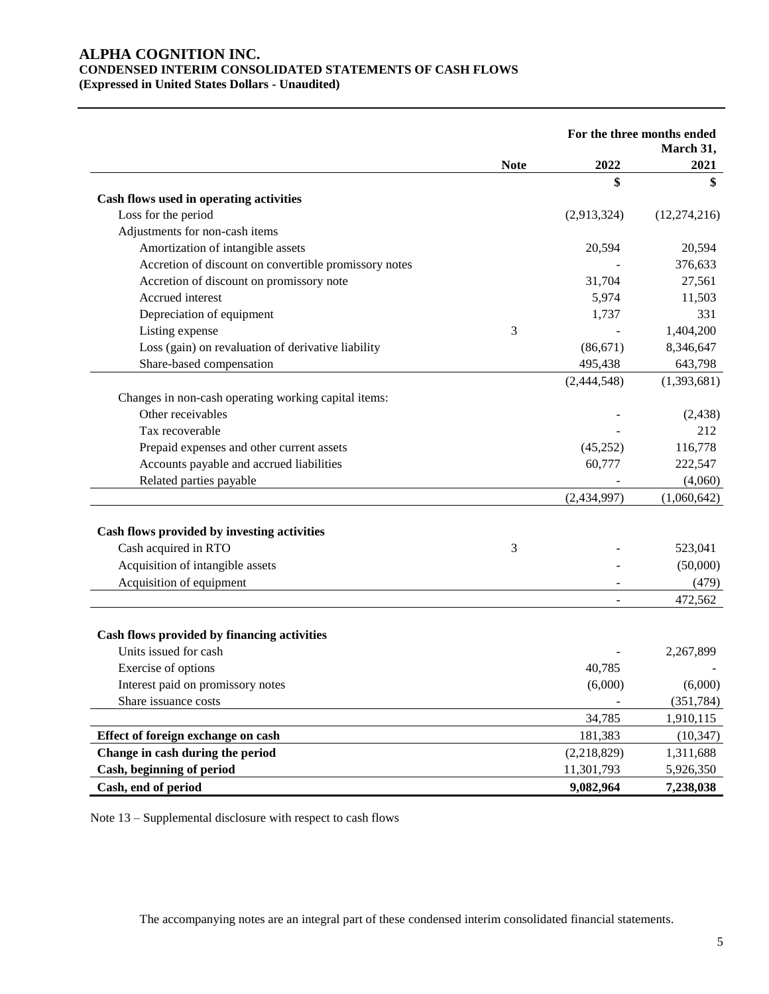# **ALPHA COGNITION INC. CONDENSED INTERIM CONSOLIDATED STATEMENTS OF CASH FLOWS (Expressed in United States Dollars - Unaudited)**

|                                                       |             | For the three months ended |                   |
|-------------------------------------------------------|-------------|----------------------------|-------------------|
|                                                       | <b>Note</b> | 2022                       | March 31,<br>2021 |
|                                                       |             | \$                         | \$                |
| Cash flows used in operating activities               |             |                            |                   |
| Loss for the period                                   |             | (2,913,324)                | (12, 274, 216)    |
| Adjustments for non-cash items                        |             |                            |                   |
| Amortization of intangible assets                     |             | 20,594                     | 20,594            |
| Accretion of discount on convertible promissory notes |             |                            | 376,633           |
| Accretion of discount on promissory note              |             | 31,704                     | 27,561            |
| Accrued interest                                      |             | 5,974                      | 11,503            |
| Depreciation of equipment                             |             | 1,737                      | 331               |
| Listing expense                                       | 3           |                            | 1,404,200         |
| Loss (gain) on revaluation of derivative liability    |             | (86, 671)                  | 8,346,647         |
| Share-based compensation                              |             | 495,438                    | 643,798           |
|                                                       |             | (2,444,548)                | (1,393,681)       |
| Changes in non-cash operating working capital items:  |             |                            |                   |
| Other receivables                                     |             |                            | (2, 438)          |
| Tax recoverable                                       |             |                            | 212               |
| Prepaid expenses and other current assets             |             | (45, 252)                  | 116,778           |
| Accounts payable and accrued liabilities              |             | 60,777                     | 222,547           |
| Related parties payable                               |             |                            | (4,060)           |
|                                                       |             | (2,434,997)                | (1,060,642)       |
| Cash flows provided by investing activities           |             |                            |                   |
| Cash acquired in RTO                                  | 3           |                            | 523,041           |
| Acquisition of intangible assets                      |             |                            | (50,000)          |
| Acquisition of equipment                              |             |                            | (479)             |
|                                                       |             |                            | 472,562           |
| Cash flows provided by financing activities           |             |                            |                   |
| Units issued for cash                                 |             |                            | 2,267,899         |
| Exercise of options                                   |             | 40,785                     |                   |
| Interest paid on promissory notes                     |             | (6,000)                    | (6,000)           |
| Share issuance costs                                  |             |                            | (351, 784)        |
|                                                       |             | 34,785                     | 1,910,115         |
| Effect of foreign exchange on cash                    |             | 181,383                    | (10, 347)         |
| Change in cash during the period                      |             | (2,218,829)                | 1,311,688         |
| Cash, beginning of period                             |             | 11,301,793                 |                   |
|                                                       |             |                            | 5,926,350         |
| Cash, end of period                                   |             | 9,082,964                  | 7,238,038         |

Note 13 – Supplemental disclosure with respect to cash flows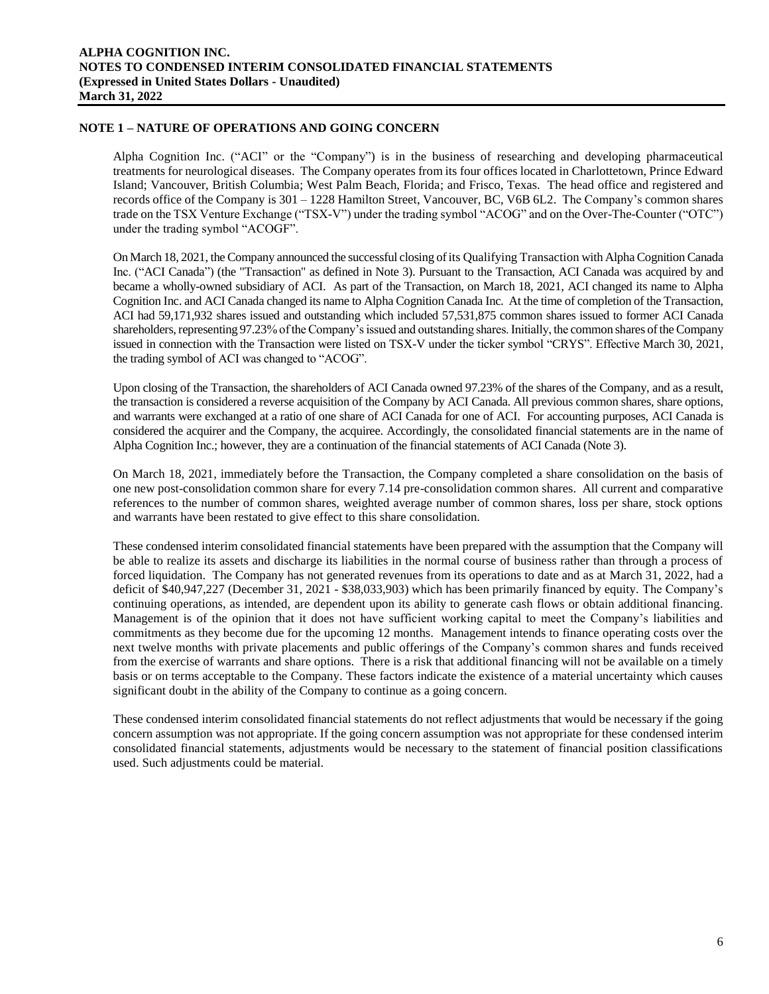# **NOTE 1 – NATURE OF OPERATIONS AND GOING CONCERN**

Alpha Cognition Inc. ("ACI" or the "Company") is in the business of researching and developing pharmaceutical treatments for neurological diseases. The Company operates from its four offices located in Charlottetown, Prince Edward Island; Vancouver, British Columbia; West Palm Beach, Florida; and Frisco, Texas. The head office and registered and records office of the Company is 301 – 1228 Hamilton Street, Vancouver, BC, V6B 6L2. The Company's common shares trade on the TSX Venture Exchange ("TSX-V") under the trading symbol "ACOG" and on the Over-The-Counter ("OTC") under the trading symbol "ACOGF".

On March 18, 2021, the Company announced the successful closing of its Qualifying Transaction with Alpha Cognition Canada Inc. ("ACI Canada") (the "Transaction" as defined in Note 3). Pursuant to the Transaction, ACI Canada was acquired by and became a wholly-owned subsidiary of ACI. As part of the Transaction, on March 18, 2021, ACI changed its name to Alpha Cognition Inc. and ACI Canada changed its name to Alpha Cognition Canada Inc. At the time of completion of the Transaction, ACI had 59,171,932 shares issued and outstanding which included 57,531,875 common shares issued to former ACI Canada shareholders, representing 97.23% of the Company's issued and outstanding shares. Initially, the common shares of the Company issued in connection with the Transaction were listed on TSX-V under the ticker symbol "CRYS". Effective March 30, 2021, the trading symbol of ACI was changed to "ACOG".

Upon closing of the Transaction, the shareholders of ACI Canada owned 97.23% of the shares of the Company, and as a result, the transaction is considered a reverse acquisition of the Company by ACI Canada. All previous common shares, share options, and warrants were exchanged at a ratio of one share of ACI Canada for one of ACI. For accounting purposes, ACI Canada is considered the acquirer and the Company, the acquiree. Accordingly, the consolidated financial statements are in the name of Alpha Cognition Inc.; however, they are a continuation of the financial statements of ACI Canada (Note 3).

On March 18, 2021, immediately before the Transaction, the Company completed a share consolidation on the basis of one new post-consolidation common share for every 7.14 pre-consolidation common shares. All current and comparative references to the number of common shares, weighted average number of common shares, loss per share, stock options and warrants have been restated to give effect to this share consolidation.

These condensed interim consolidated financial statements have been prepared with the assumption that the Company will be able to realize its assets and discharge its liabilities in the normal course of business rather than through a process of forced liquidation. The Company has not generated revenues from its operations to date and as at March 31, 2022, had a deficit of \$40,947,227 (December 31, 2021 - \$38,033,903) which has been primarily financed by equity. The Company's continuing operations, as intended, are dependent upon its ability to generate cash flows or obtain additional financing. Management is of the opinion that it does not have sufficient working capital to meet the Company's liabilities and commitments as they become due for the upcoming 12 months. Management intends to finance operating costs over the next twelve months with private placements and public offerings of the Company's common shares and funds received from the exercise of warrants and share options. There is a risk that additional financing will not be available on a timely basis or on terms acceptable to the Company. These factors indicate the existence of a material uncertainty which causes significant doubt in the ability of the Company to continue as a going concern.

These condensed interim consolidated financial statements do not reflect adjustments that would be necessary if the going concern assumption was not appropriate. If the going concern assumption was not appropriate for these condensed interim consolidated financial statements, adjustments would be necessary to the statement of financial position classifications used. Such adjustments could be material.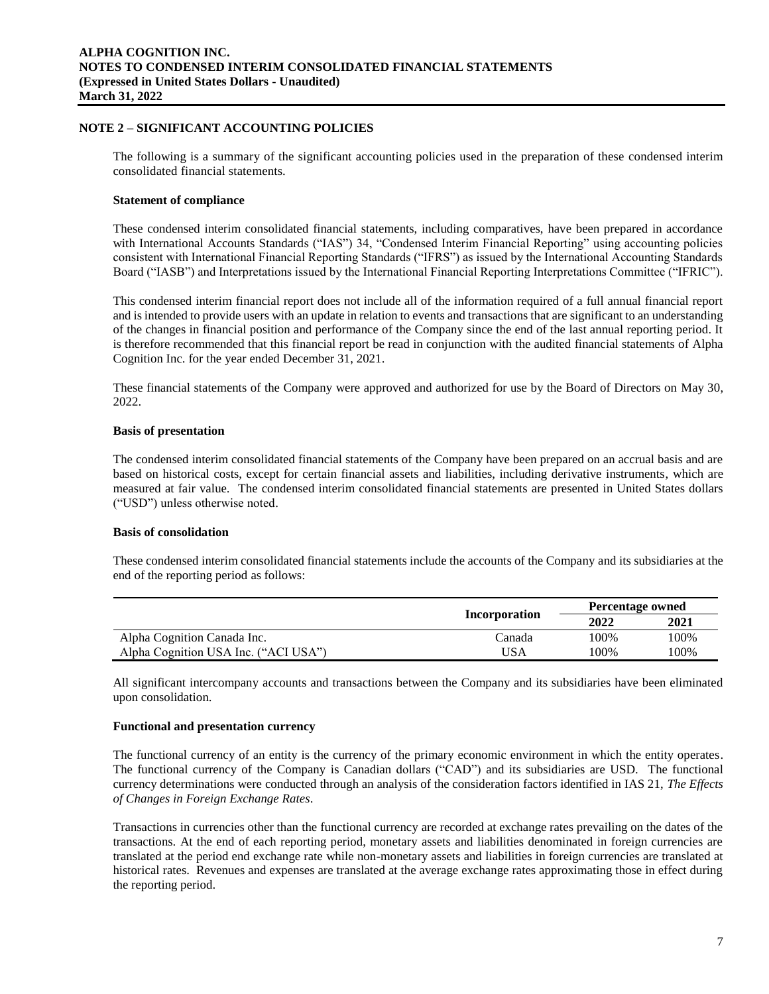# **NOTE 2 – SIGNIFICANT ACCOUNTING POLICIES**

The following is a summary of the significant accounting policies used in the preparation of these condensed interim consolidated financial statements.

#### **Statement of compliance**

These condensed interim consolidated financial statements, including comparatives, have been prepared in accordance with International Accounts Standards ("IAS") 34, "Condensed Interim Financial Reporting" using accounting policies consistent with International Financial Reporting Standards ("IFRS") as issued by the International Accounting Standards Board ("IASB") and Interpretations issued by the International Financial Reporting Interpretations Committee ("IFRIC").

This condensed interim financial report does not include all of the information required of a full annual financial report and is intended to provide users with an update in relation to events and transactions that are significant to an understanding of the changes in financial position and performance of the Company since the end of the last annual reporting period. It is therefore recommended that this financial report be read in conjunction with the audited financial statements of Alpha Cognition Inc. for the year ended December 31, 2021.

These financial statements of the Company were approved and authorized for use by the Board of Directors on May 30, 2022.

# **Basis of presentation**

The condensed interim consolidated financial statements of the Company have been prepared on an accrual basis and are based on historical costs, except for certain financial assets and liabilities, including derivative instruments, which are measured at fair value. The condensed interim consolidated financial statements are presented in United States dollars ("USD") unless otherwise noted.

# **Basis of consolidation**

These condensed interim consolidated financial statements include the accounts of the Company and its subsidiaries at the end of the reporting period as follows:

|                                      |               | Percentage owned |      |  |  |
|--------------------------------------|---------------|------------------|------|--|--|
|                                      | Incorporation | 2022             | 2021 |  |  |
| Alpha Cognition Canada Inc.          | Canada        | 100%             | 100% |  |  |
| Alpha Cognition USA Inc. ("ACI USA") | JSA           | 100%             | 100% |  |  |

All significant intercompany accounts and transactions between the Company and its subsidiaries have been eliminated upon consolidation.

#### **Functional and presentation currency**

The functional currency of an entity is the currency of the primary economic environment in which the entity operates. The functional currency of the Company is Canadian dollars ("CAD") and its subsidiaries are USD. The functional currency determinations were conducted through an analysis of the consideration factors identified in IAS 21, *The Effects of Changes in Foreign Exchange Rates*.

Transactions in currencies other than the functional currency are recorded at exchange rates prevailing on the dates of the transactions. At the end of each reporting period, monetary assets and liabilities denominated in foreign currencies are translated at the period end exchange rate while non-monetary assets and liabilities in foreign currencies are translated at historical rates. Revenues and expenses are translated at the average exchange rates approximating those in effect during the reporting period.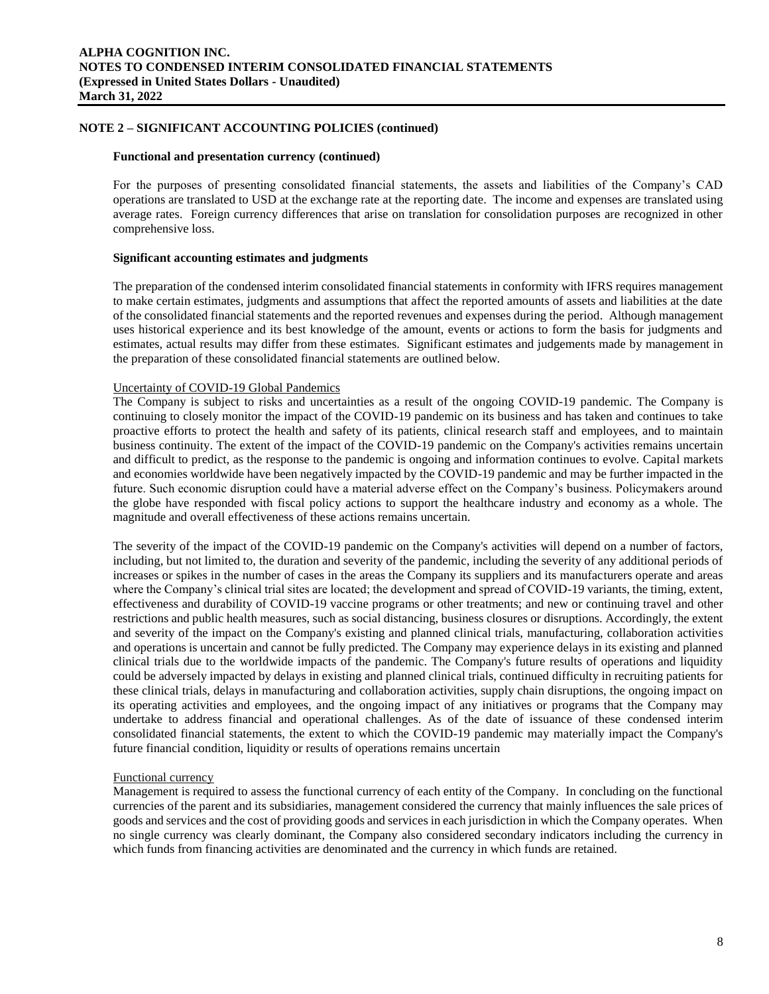# **NOTE 2 – SIGNIFICANT ACCOUNTING POLICIES (continued)**

#### **Functional and presentation currency (continued)**

For the purposes of presenting consolidated financial statements, the assets and liabilities of the Company's CAD operations are translated to USD at the exchange rate at the reporting date. The income and expenses are translated using average rates. Foreign currency differences that arise on translation for consolidation purposes are recognized in other comprehensive loss.

#### **Significant accounting estimates and judgments**

The preparation of the condensed interim consolidated financial statements in conformity with IFRS requires management to make certain estimates, judgments and assumptions that affect the reported amounts of assets and liabilities at the date of the consolidated financial statements and the reported revenues and expenses during the period. Although management uses historical experience and its best knowledge of the amount, events or actions to form the basis for judgments and estimates, actual results may differ from these estimates. Significant estimates and judgements made by management in the preparation of these consolidated financial statements are outlined below.

# Uncertainty of COVID-19 Global Pandemics

The Company is subject to risks and uncertainties as a result of the ongoing COVID-19 pandemic. The Company is continuing to closely monitor the impact of the COVID-19 pandemic on its business and has taken and continues to take proactive efforts to protect the health and safety of its patients, clinical research staff and employees, and to maintain business continuity. The extent of the impact of the COVID-19 pandemic on the Company's activities remains uncertain and difficult to predict, as the response to the pandemic is ongoing and information continues to evolve. Capital markets and economies worldwide have been negatively impacted by the COVID-19 pandemic and may be further impacted in the future. Such economic disruption could have a material adverse effect on the Company's business. Policymakers around the globe have responded with fiscal policy actions to support the healthcare industry and economy as a whole. The magnitude and overall effectiveness of these actions remains uncertain.

The severity of the impact of the COVID-19 pandemic on the Company's activities will depend on a number of factors, including, but not limited to, the duration and severity of the pandemic, including the severity of any additional periods of increases or spikes in the number of cases in the areas the Company its suppliers and its manufacturers operate and areas where the Company's clinical trial sites are located; the development and spread of COVID-19 variants, the timing, extent, effectiveness and durability of COVID-19 vaccine programs or other treatments; and new or continuing travel and other restrictions and public health measures, such as social distancing, business closures or disruptions. Accordingly, the extent and severity of the impact on the Company's existing and planned clinical trials, manufacturing, collaboration activities and operations is uncertain and cannot be fully predicted. The Company may experience delays in its existing and planned clinical trials due to the worldwide impacts of the pandemic. The Company's future results of operations and liquidity could be adversely impacted by delays in existing and planned clinical trials, continued difficulty in recruiting patients for these clinical trials, delays in manufacturing and collaboration activities, supply chain disruptions, the ongoing impact on its operating activities and employees, and the ongoing impact of any initiatives or programs that the Company may undertake to address financial and operational challenges. As of the date of issuance of these condensed interim consolidated financial statements, the extent to which the COVID-19 pandemic may materially impact the Company's future financial condition, liquidity or results of operations remains uncertain

#### Functional currency

Management is required to assess the functional currency of each entity of the Company. In concluding on the functional currencies of the parent and its subsidiaries, management considered the currency that mainly influences the sale prices of goods and services and the cost of providing goods and services in each jurisdiction in which the Company operates. When no single currency was clearly dominant, the Company also considered secondary indicators including the currency in which funds from financing activities are denominated and the currency in which funds are retained.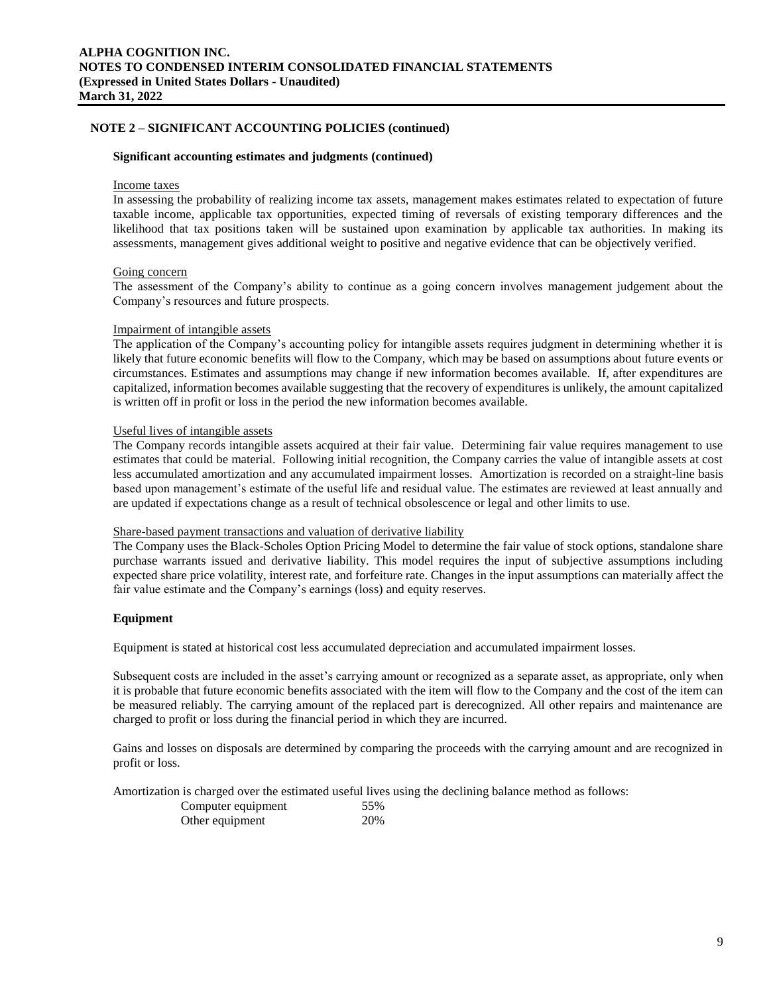# **NOTE 2 – SIGNIFICANT ACCOUNTING POLICIES (continued)**

#### **Significant accounting estimates and judgments (continued)**

#### Income taxes

In assessing the probability of realizing income tax assets, management makes estimates related to expectation of future taxable income, applicable tax opportunities, expected timing of reversals of existing temporary differences and the likelihood that tax positions taken will be sustained upon examination by applicable tax authorities. In making its assessments, management gives additional weight to positive and negative evidence that can be objectively verified.

#### Going concern

The assessment of the Company's ability to continue as a going concern involves management judgement about the Company's resources and future prospects.

#### Impairment of intangible assets

The application of the Company's accounting policy for intangible assets requires judgment in determining whether it is likely that future economic benefits will flow to the Company, which may be based on assumptions about future events or circumstances. Estimates and assumptions may change if new information becomes available. If, after expenditures are capitalized, information becomes available suggesting that the recovery of expenditures is unlikely, the amount capitalized is written off in profit or loss in the period the new information becomes available.

#### Useful lives of intangible assets

The Company records intangible assets acquired at their fair value. Determining fair value requires management to use estimates that could be material. Following initial recognition, the Company carries the value of intangible assets at cost less accumulated amortization and any accumulated impairment losses. Amortization is recorded on a straight-line basis based upon management's estimate of the useful life and residual value. The estimates are reviewed at least annually and are updated if expectations change as a result of technical obsolescence or legal and other limits to use.

# Share-based payment transactions and valuation of derivative liability

The Company uses the Black-Scholes Option Pricing Model to determine the fair value of stock options, standalone share purchase warrants issued and derivative liability. This model requires the input of subjective assumptions including expected share price volatility, interest rate, and forfeiture rate. Changes in the input assumptions can materially affect the fair value estimate and the Company's earnings (loss) and equity reserves.

#### **Equipment**

Equipment is stated at historical cost less accumulated depreciation and accumulated impairment losses.

Subsequent costs are included in the asset's carrying amount or recognized as a separate asset, as appropriate, only when it is probable that future economic benefits associated with the item will flow to the Company and the cost of the item can be measured reliably. The carrying amount of the replaced part is derecognized. All other repairs and maintenance are charged to profit or loss during the financial period in which they are incurred.

Gains and losses on disposals are determined by comparing the proceeds with the carrying amount and are recognized in profit or loss.

Amortization is charged over the estimated useful lives using the declining balance method as follows:

| Computer equipment | 55% |
|--------------------|-----|
| Other equipment    | 20% |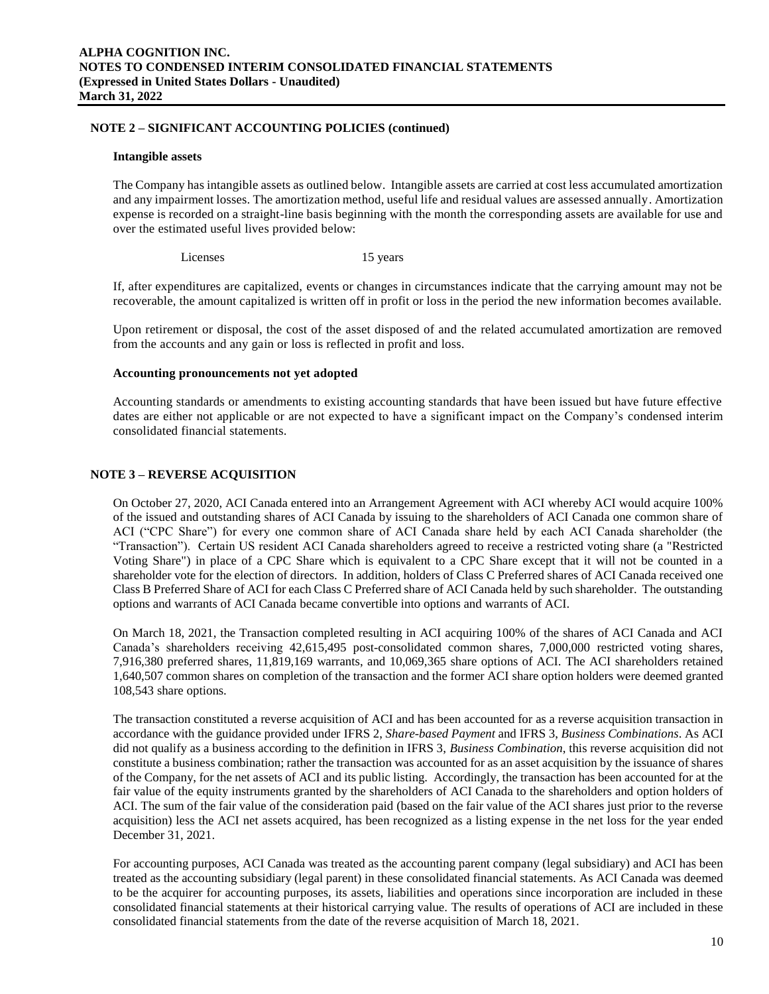### **NOTE 2 – SIGNIFICANT ACCOUNTING POLICIES (continued)**

#### **Intangible assets**

The Company has intangible assets as outlined below. Intangible assets are carried at cost less accumulated amortization and any impairment losses. The amortization method, useful life and residual values are assessed annually. Amortization expense is recorded on a straight-line basis beginning with the month the corresponding assets are available for use and over the estimated useful lives provided below:

Licenses 15 years

If, after expenditures are capitalized, events or changes in circumstances indicate that the carrying amount may not be recoverable, the amount capitalized is written off in profit or loss in the period the new information becomes available.

Upon retirement or disposal, the cost of the asset disposed of and the related accumulated amortization are removed from the accounts and any gain or loss is reflected in profit and loss.

#### **Accounting pronouncements not yet adopted**

Accounting standards or amendments to existing accounting standards that have been issued but have future effective dates are either not applicable or are not expected to have a significant impact on the Company's condensed interim consolidated financial statements.

# **NOTE 3 – REVERSE ACQUISITION**

On October 27, 2020, ACI Canada entered into an Arrangement Agreement with ACI whereby ACI would acquire 100% of the issued and outstanding shares of ACI Canada by issuing to the shareholders of ACI Canada one common share of ACI ("CPC Share") for every one common share of ACI Canada share held by each ACI Canada shareholder (the "Transaction"). Certain US resident ACI Canada shareholders agreed to receive a restricted voting share (a "Restricted Voting Share") in place of a CPC Share which is equivalent to a CPC Share except that it will not be counted in a shareholder vote for the election of directors. In addition, holders of Class C Preferred shares of ACI Canada received one Class B Preferred Share of ACI for each Class C Preferred share of ACI Canada held by such shareholder. The outstanding options and warrants of ACI Canada became convertible into options and warrants of ACI.

On March 18, 2021, the Transaction completed resulting in ACI acquiring 100% of the shares of ACI Canada and ACI Canada's shareholders receiving 42,615,495 post-consolidated common shares, 7,000,000 restricted voting shares, 7,916,380 preferred shares, 11,819,169 warrants, and 10,069,365 share options of ACI. The ACI shareholders retained 1,640,507 common shares on completion of the transaction and the former ACI share option holders were deemed granted 108,543 share options.

The transaction constituted a reverse acquisition of ACI and has been accounted for as a reverse acquisition transaction in accordance with the guidance provided under IFRS 2, *Share-based Payment* and IFRS 3, *Business Combinations*. As ACI did not qualify as a business according to the definition in IFRS 3, *Business Combination*, this reverse acquisition did not constitute a business combination; rather the transaction was accounted for as an asset acquisition by the issuance of shares of the Company, for the net assets of ACI and its public listing. Accordingly, the transaction has been accounted for at the fair value of the equity instruments granted by the shareholders of ACI Canada to the shareholders and option holders of ACI. The sum of the fair value of the consideration paid (based on the fair value of the ACI shares just prior to the reverse acquisition) less the ACI net assets acquired, has been recognized as a listing expense in the net loss for the year ended December 31, 2021.

For accounting purposes, ACI Canada was treated as the accounting parent company (legal subsidiary) and ACI has been treated as the accounting subsidiary (legal parent) in these consolidated financial statements. As ACI Canada was deemed to be the acquirer for accounting purposes, its assets, liabilities and operations since incorporation are included in these consolidated financial statements at their historical carrying value. The results of operations of ACI are included in these consolidated financial statements from the date of the reverse acquisition of March 18, 2021.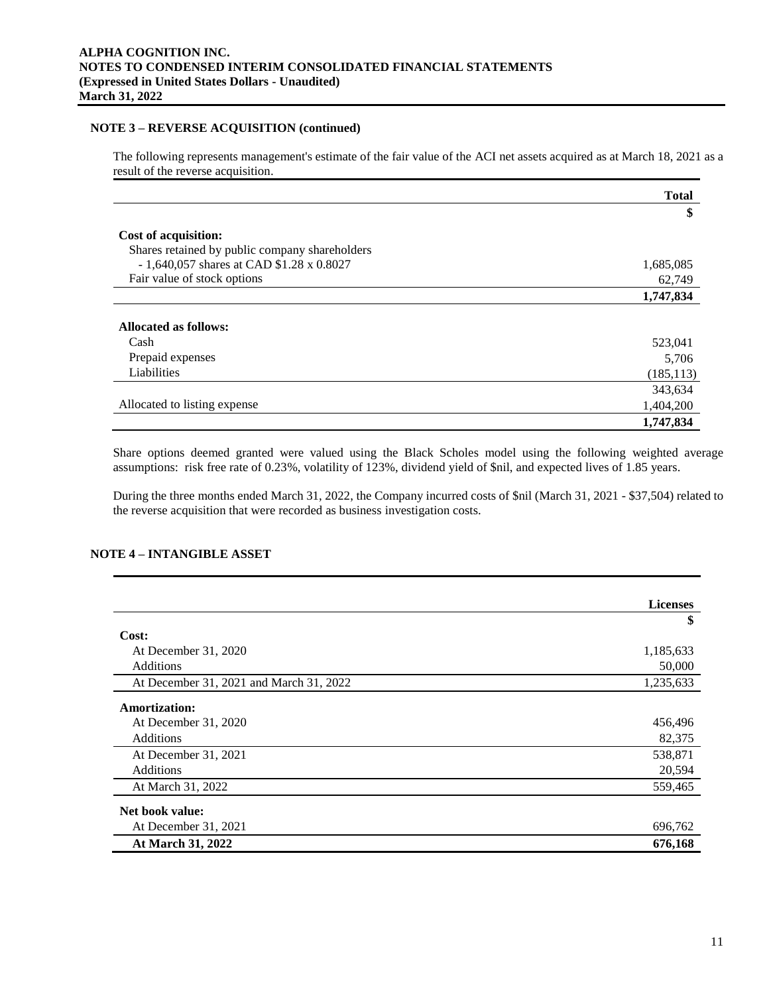### **NOTE 3 – REVERSE ACQUISITION (continued)**

The following represents management's estimate of the fair value of the ACI net assets acquired as at March 18, 2021 as a result of the reverse acquisition.

|                                                 | <b>Total</b> |
|-------------------------------------------------|--------------|
|                                                 | \$           |
| Cost of acquisition:                            |              |
| Shares retained by public company shareholders  |              |
| - 1,640,057 shares at CAD $$1.28 \times 0.8027$ | 1,685,085    |
| Fair value of stock options                     | 62,749       |
|                                                 | 1,747,834    |
|                                                 |              |
| Allocated as follows:                           |              |
| Cash                                            | 523,041      |
| Prepaid expenses                                | 5,706        |
| Liabilities                                     | (185, 113)   |
|                                                 | 343,634      |
| Allocated to listing expense                    | 1,404,200    |
|                                                 | 1.747.834    |

Share options deemed granted were valued using the Black Scholes model using the following weighted average assumptions: risk free rate of 0.23%, volatility of 123%, dividend yield of \$nil, and expected lives of 1.85 years.

During the three months ended March 31, 2022, the Company incurred costs of \$nil (March 31, 2021 - \$37,504) related to the reverse acquisition that were recorded as business investigation costs.

# **NOTE 4 – INTANGIBLE ASSET**

|                                         | <b>Licenses</b> |
|-----------------------------------------|-----------------|
|                                         | \$              |
| Cost:                                   |                 |
| At December 31, 2020                    | 1,185,633       |
| Additions                               | 50,000          |
| At December 31, 2021 and March 31, 2022 | 1,235,633       |
| <b>Amortization:</b>                    |                 |
| At December 31, 2020                    | 456,496         |
| <b>Additions</b>                        | 82,375          |
| At December 31, 2021                    | 538,871         |
| <b>Additions</b>                        | 20,594          |
| At March 31, 2022                       | 559,465         |
| Net book value:                         |                 |
| At December 31, 2021                    | 696,762         |
| At March 31, 2022                       | 676,168         |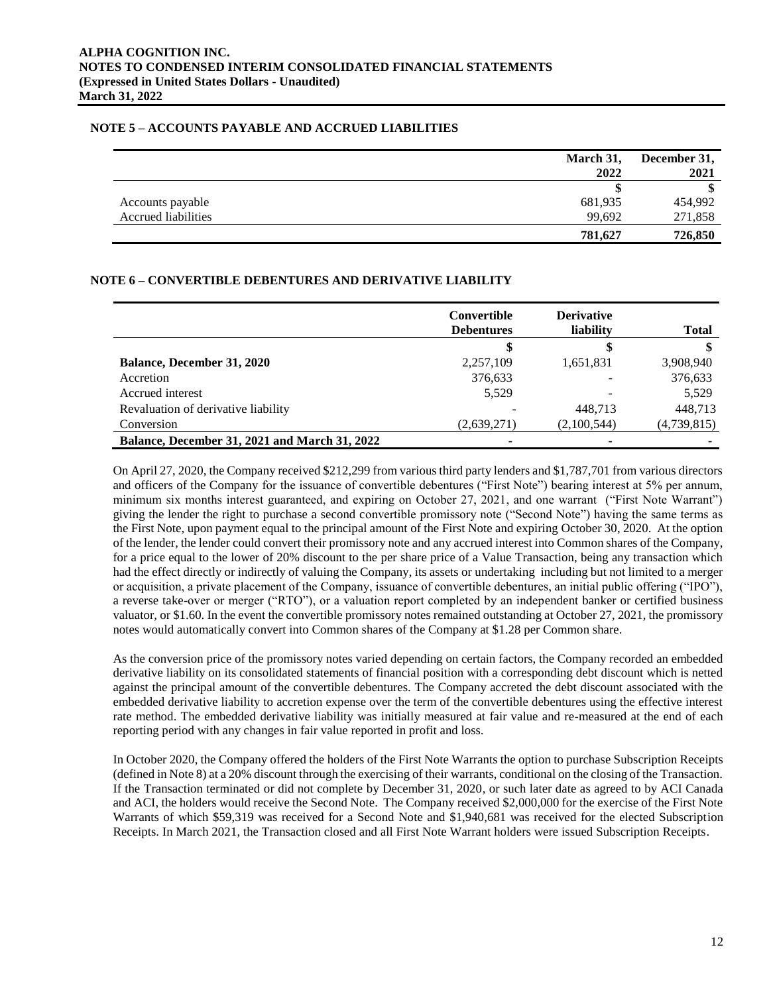# **NOTE 5 – ACCOUNTS PAYABLE AND ACCRUED LIABILITIES**

|                     | March 31, | December 31, |
|---------------------|-----------|--------------|
|                     | 2022      | 2021         |
|                     |           |              |
| Accounts payable    | 681,935   | 454,992      |
| Accrued liabilities | 99,692    | 271,858      |
|                     | 781,627   | 726,850      |

# **NOTE 6 – CONVERTIBLE DEBENTURES AND DERIVATIVE LIABILITY**

|                                                      | Convertible<br><b>Debentures</b> | <b>Derivative</b><br>liability | <b>Total</b> |
|------------------------------------------------------|----------------------------------|--------------------------------|--------------|
|                                                      | S                                | æ                              |              |
| <b>Balance, December 31, 2020</b>                    | 2,257,109                        | 1,651,831                      | 3,908,940    |
| Accretion                                            | 376,633                          |                                | 376,633      |
| Accrued interest                                     | 5.529                            |                                | 5,529        |
| Revaluation of derivative liability                  |                                  | 448.713                        | 448,713      |
| Conversion                                           | (2,639,271)                      | (2,100,544)                    | (4,739,815)  |
| <b>Balance, December 31, 2021 and March 31, 2022</b> | -                                |                                |              |

On April 27, 2020, the Company received \$212,299 from various third party lenders and \$1,787,701 from various directors and officers of the Company for the issuance of convertible debentures ("First Note") bearing interest at 5% per annum, minimum six months interest guaranteed, and expiring on October 27, 2021, and one warrant ("First Note Warrant") giving the lender the right to purchase a second convertible promissory note ("Second Note") having the same terms as the First Note, upon payment equal to the principal amount of the First Note and expiring October 30, 2020. At the option of the lender, the lender could convert their promissory note and any accrued interest into Common shares of the Company, for a price equal to the lower of 20% discount to the per share price of a Value Transaction, being any transaction which had the effect directly or indirectly of valuing the Company, its assets or undertaking including but not limited to a merger or acquisition, a private placement of the Company, issuance of convertible debentures, an initial public offering ("IPO"), a reverse take-over or merger ("RTO"), or a valuation report completed by an independent banker or certified business valuator, or \$1.60. In the event the convertible promissory notes remained outstanding at October 27, 2021, the promissory notes would automatically convert into Common shares of the Company at \$1.28 per Common share.

As the conversion price of the promissory notes varied depending on certain factors, the Company recorded an embedded derivative liability on its consolidated statements of financial position with a corresponding debt discount which is netted against the principal amount of the convertible debentures. The Company accreted the debt discount associated with the embedded derivative liability to accretion expense over the term of the convertible debentures using the effective interest rate method. The embedded derivative liability was initially measured at fair value and re-measured at the end of each reporting period with any changes in fair value reported in profit and loss.

In October 2020, the Company offered the holders of the First Note Warrants the option to purchase Subscription Receipts (defined in Note 8) at a 20% discount through the exercising of their warrants, conditional on the closing of the Transaction. If the Transaction terminated or did not complete by December 31, 2020, or such later date as agreed to by ACI Canada and ACI, the holders would receive the Second Note. The Company received \$2,000,000 for the exercise of the First Note Warrants of which \$59,319 was received for a Second Note and \$1,940,681 was received for the elected Subscription Receipts. In March 2021, the Transaction closed and all First Note Warrant holders were issued Subscription Receipts.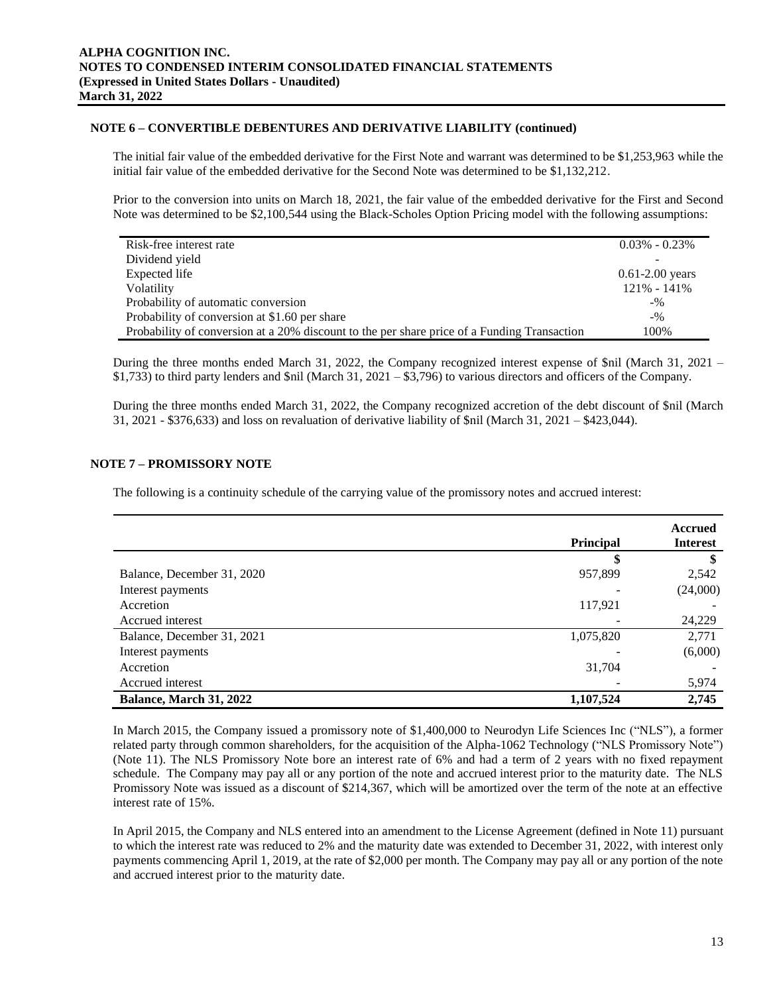# **NOTE 6 – CONVERTIBLE DEBENTURES AND DERIVATIVE LIABILITY (continued)**

The initial fair value of the embedded derivative for the First Note and warrant was determined to be \$1,253,963 while the initial fair value of the embedded derivative for the Second Note was determined to be \$1,132,212.

Prior to the conversion into units on March 18, 2021, the fair value of the embedded derivative for the First and Second Note was determined to be \$2,100,544 using the Black-Scholes Option Pricing model with the following assumptions:

| Risk-free interest rate                                                                     | $0.03\%$ - $0.23\%$ |
|---------------------------------------------------------------------------------------------|---------------------|
| Dividend yield                                                                              |                     |
| Expected life                                                                               | $0.61 - 2.00$ years |
| <b>V</b> olatility                                                                          | 121% - 141%         |
| Probability of automatic conversion                                                         | $-9/0$              |
| Probability of conversion at \$1.60 per share                                               | $-9/6$              |
| Probability of conversion at a 20% discount to the per share price of a Funding Transaction | 100%                |

During the three months ended March 31, 2022, the Company recognized interest expense of \$nil (March 31, 2021 – \$1,733) to third party lenders and \$nil (March 31, 2021 – \$3,796) to various directors and officers of the Company.

During the three months ended March 31, 2022, the Company recognized accretion of the debt discount of \$nil (March 31, 2021 - \$376,633) and loss on revaluation of derivative liability of \$nil (March 31, 2021 – \$423,044).

# **NOTE 7 – PROMISSORY NOTE**

The following is a continuity schedule of the carrying value of the promissory notes and accrued interest:

|                            | <b>Principal</b> | Accrued<br><b>Interest</b> |
|----------------------------|------------------|----------------------------|
|                            |                  |                            |
| Balance, December 31, 2020 | 957,899          | 2,542                      |
| Interest payments          |                  | (24,000)                   |
| Accretion                  | 117,921          |                            |
| Accrued interest           |                  | 24,229                     |
| Balance, December 31, 2021 | 1,075,820        | 2,771                      |
| Interest payments          |                  | (6,000)                    |
| Accretion                  | 31,704           |                            |
| Accrued interest           |                  | 5,974                      |
| Balance, March 31, 2022    | 1,107,524        | 2,745                      |

In March 2015, the Company issued a promissory note of \$1,400,000 to Neurodyn Life Sciences Inc ("NLS"), a former related party through common shareholders, for the acquisition of the Alpha-1062 Technology ("NLS Promissory Note") (Note 11). The NLS Promissory Note bore an interest rate of 6% and had a term of 2 years with no fixed repayment schedule. The Company may pay all or any portion of the note and accrued interest prior to the maturity date. The NLS Promissory Note was issued as a discount of \$214,367, which will be amortized over the term of the note at an effective interest rate of 15%.

In April 2015, the Company and NLS entered into an amendment to the License Agreement (defined in Note 11) pursuant to which the interest rate was reduced to 2% and the maturity date was extended to December 31, 2022, with interest only payments commencing April 1, 2019, at the rate of \$2,000 per month. The Company may pay all or any portion of the note and accrued interest prior to the maturity date.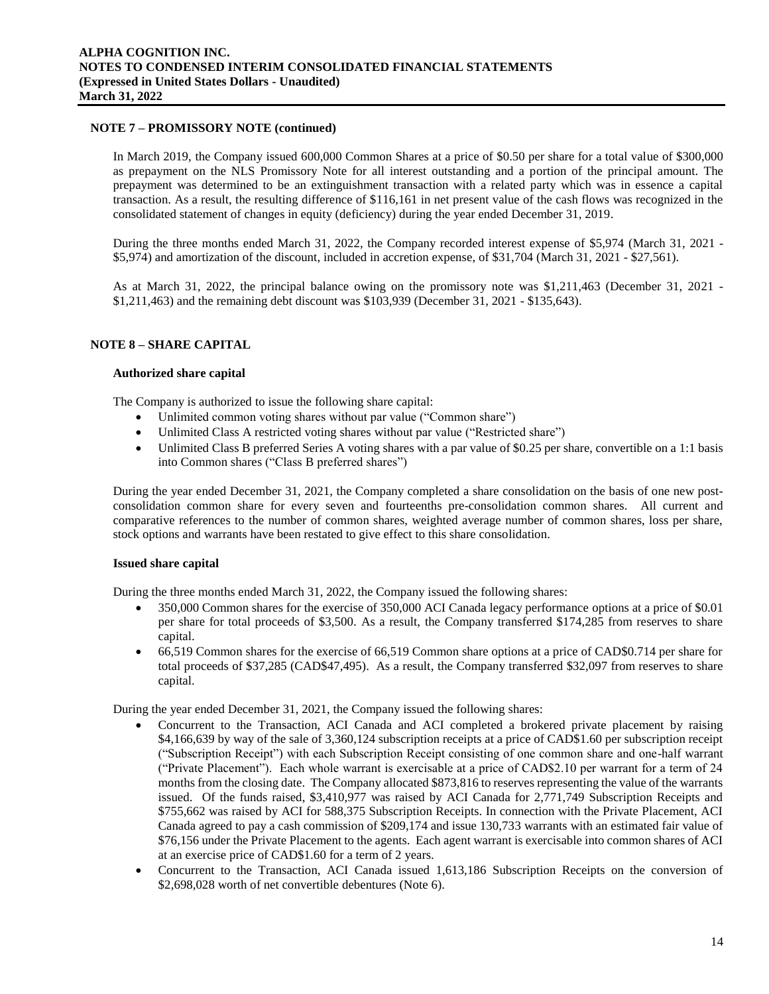### **NOTE 7 – PROMISSORY NOTE (continued)**

In March 2019, the Company issued 600,000 Common Shares at a price of \$0.50 per share for a total value of \$300,000 as prepayment on the NLS Promissory Note for all interest outstanding and a portion of the principal amount. The prepayment was determined to be an extinguishment transaction with a related party which was in essence a capital transaction. As a result, the resulting difference of \$116,161 in net present value of the cash flows was recognized in the consolidated statement of changes in equity (deficiency) during the year ended December 31, 2019.

During the three months ended March 31, 2022, the Company recorded interest expense of \$5,974 (March 31, 2021 - \$5,974) and amortization of the discount, included in accretion expense, of \$31,704 (March 31, 2021 - \$27,561).

As at March 31, 2022, the principal balance owing on the promissory note was \$1,211,463 (December 31, 2021 - \$1,211,463) and the remaining debt discount was \$103,939 (December 31, 2021 - \$135,643).

# **NOTE 8 – SHARE CAPITAL**

#### **Authorized share capital**

The Company is authorized to issue the following share capital:

- Unlimited common voting shares without par value ("Common share")
- Unlimited Class A restricted voting shares without par value ("Restricted share")
- Unlimited Class B preferred Series A voting shares with a par value of \$0.25 per share, convertible on a 1:1 basis into Common shares ("Class B preferred shares")

During the year ended December 31, 2021, the Company completed a share consolidation on the basis of one new postconsolidation common share for every seven and fourteenths pre-consolidation common shares. All current and comparative references to the number of common shares, weighted average number of common shares, loss per share, stock options and warrants have been restated to give effect to this share consolidation.

#### **Issued share capital**

During the three months ended March 31, 2022, the Company issued the following shares:

- 350,000 Common shares for the exercise of 350,000 ACI Canada legacy performance options at a price of \$0.01 per share for total proceeds of \$3,500. As a result, the Company transferred \$174,285 from reserves to share capital.
- 66,519 Common shares for the exercise of 66,519 Common share options at a price of CAD\$0.714 per share for total proceeds of \$37,285 (CAD\$47,495). As a result, the Company transferred \$32,097 from reserves to share capital.

During the year ended December 31, 2021, the Company issued the following shares:

- Concurrent to the Transaction, ACI Canada and ACI completed a brokered private placement by raising \$4,166,639 by way of the sale of 3,360,124 subscription receipts at a price of CAD\$1.60 per subscription receipt ("Subscription Receipt") with each Subscription Receipt consisting of one common share and one-half warrant ("Private Placement"). Each whole warrant is exercisable at a price of CAD\$2.10 per warrant for a term of 24 months from the closing date. The Company allocated \$873,816 to reserves representing the value of the warrants issued. Of the funds raised, \$3,410,977 was raised by ACI Canada for 2,771,749 Subscription Receipts and \$755,662 was raised by ACI for 588,375 Subscription Receipts. In connection with the Private Placement, ACI Canada agreed to pay a cash commission of \$209,174 and issue 130,733 warrants with an estimated fair value of \$76,156 under the Private Placement to the agents. Each agent warrant is exercisable into common shares of ACI at an exercise price of CAD\$1.60 for a term of 2 years.
- Concurrent to the Transaction, ACI Canada issued 1,613,186 Subscription Receipts on the conversion of \$2,698,028 worth of net convertible debentures (Note 6).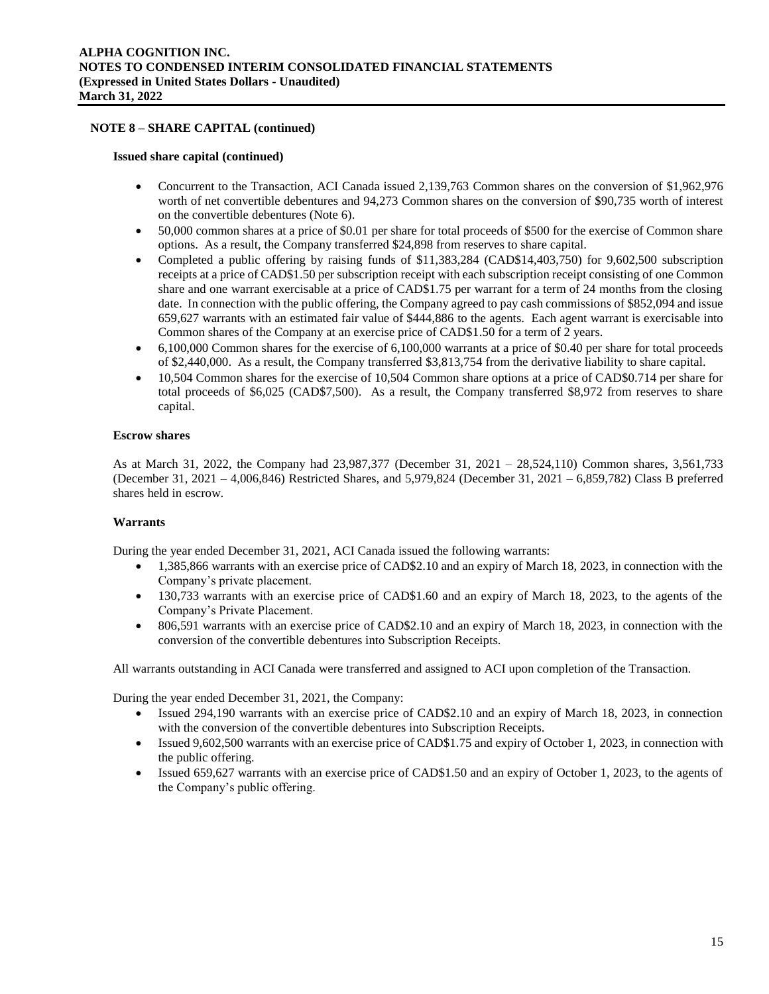#### **Issued share capital (continued)**

- Concurrent to the Transaction, ACI Canada issued 2,139,763 Common shares on the conversion of \$1,962,976 worth of net convertible debentures and 94,273 Common shares on the conversion of \$90,735 worth of interest on the convertible debentures (Note 6).
- 50,000 common shares at a price of \$0.01 per share for total proceeds of \$500 for the exercise of Common share options. As a result, the Company transferred \$24,898 from reserves to share capital.
- Completed a public offering by raising funds of \$11,383,284 (CAD\$14,403,750) for 9,602,500 subscription receipts at a price of CAD\$1.50 per subscription receipt with each subscription receipt consisting of one Common share and one warrant exercisable at a price of CAD\$1.75 per warrant for a term of 24 months from the closing date. In connection with the public offering, the Company agreed to pay cash commissions of \$852,094 and issue 659,627 warrants with an estimated fair value of \$444,886 to the agents. Each agent warrant is exercisable into Common shares of the Company at an exercise price of CAD\$1.50 for a term of 2 years.
- $\bullet$  6,100,000 Common shares for the exercise of 6,100,000 warrants at a price of \$0.40 per share for total proceeds of \$2,440,000. As a result, the Company transferred \$3,813,754 from the derivative liability to share capital.
- 10,504 Common shares for the exercise of 10,504 Common share options at a price of CAD\$0.714 per share for total proceeds of \$6,025 (CAD\$7,500). As a result, the Company transferred \$8,972 from reserves to share capital.

# **Escrow shares**

As at March 31, 2022, the Company had 23,987,377 (December 31, 2021 – 28,524,110) Common shares, 3,561,733 (December 31, 2021 – 4,006,846) Restricted Shares, and 5,979,824 (December 31, 2021 – 6,859,782) Class B preferred shares held in escrow.

#### **Warrants**

During the year ended December 31, 2021, ACI Canada issued the following warrants:

- 1,385,866 warrants with an exercise price of CAD\$2.10 and an expiry of March 18, 2023, in connection with the Company's private placement.
- 130,733 warrants with an exercise price of CAD\$1.60 and an expiry of March 18, 2023, to the agents of the Company's Private Placement.
- 806,591 warrants with an exercise price of CAD\$2.10 and an expiry of March 18, 2023, in connection with the conversion of the convertible debentures into Subscription Receipts.

All warrants outstanding in ACI Canada were transferred and assigned to ACI upon completion of the Transaction.

During the year ended December 31, 2021, the Company:

- Issued 294,190 warrants with an exercise price of CAD\$2.10 and an expiry of March 18, 2023, in connection with the conversion of the convertible debentures into Subscription Receipts.
- Issued 9,602,500 warrants with an exercise price of CAD\$1.75 and expiry of October 1, 2023, in connection with the public offering.
- Issued 659,627 warrants with an exercise price of CAD\$1.50 and an expiry of October 1, 2023, to the agents of the Company's public offering.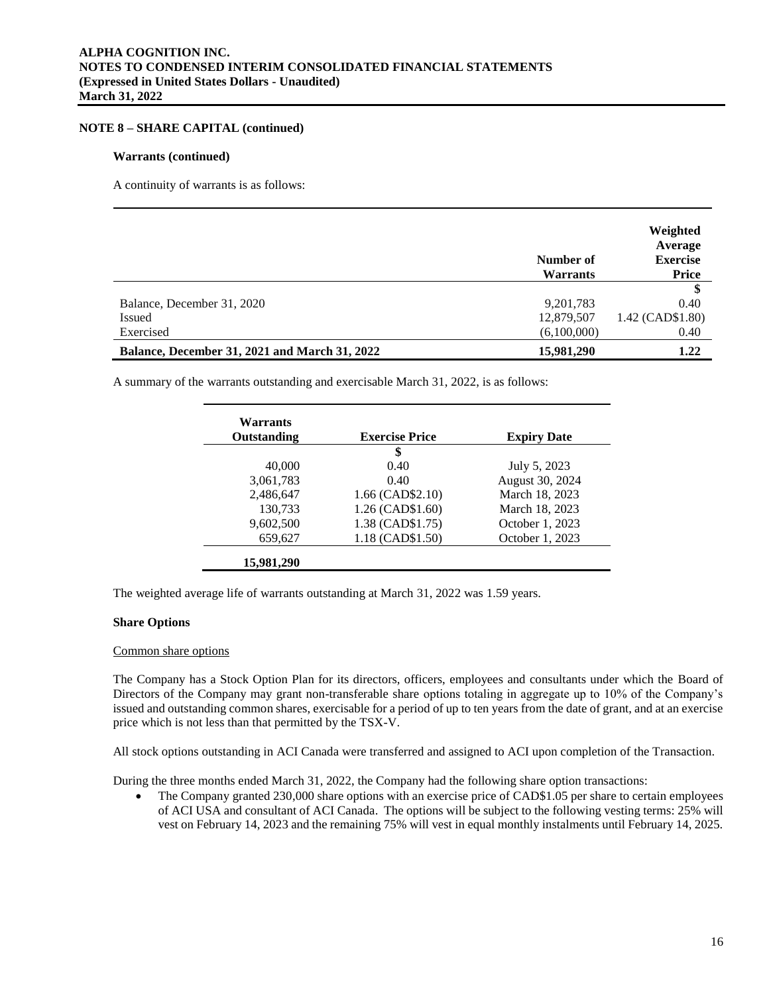#### **Warrants (continued)**

A continuity of warrants is as follows:

|                                                      | Number of<br><b>Warrants</b> | Weighted<br>Average<br><b>Exercise</b><br><b>Price</b> |
|------------------------------------------------------|------------------------------|--------------------------------------------------------|
|                                                      |                              | \$                                                     |
| Balance, December 31, 2020                           | 9,201,783                    | 0.40                                                   |
| <b>Issued</b>                                        | 12,879,507                   | 1.42 (CAD\$1.80)                                       |
| Exercised                                            | (6,100,000)                  | 0.40                                                   |
| <b>Balance, December 31, 2021 and March 31, 2022</b> | 15,981,290                   | 1.22                                                   |

A summary of the warrants outstanding and exercisable March 31, 2022, is as follows:

| Warrants<br>Outstanding | <b>Exercise Price</b> | <b>Expiry Date</b> |
|-------------------------|-----------------------|--------------------|
|                         | \$                    |                    |
| 40,000                  | 0.40                  | July 5, 2023       |
| 3,061,783               | 0.40                  | August 30, 2024    |
| 2,486,647               | 1.66 (CAD\$2.10)      | March 18, 2023     |
| 130,733                 | 1.26 (CAD\$1.60)      | March 18, 2023     |
| 9,602,500               | 1.38 (CAD\$1.75)      | October 1, 2023    |
| 659,627                 | 1.18 (CAD\$1.50)      | October 1, 2023    |
| 15,981,290              |                       |                    |

The weighted average life of warrants outstanding at March 31, 2022 was 1.59 years.

### **Share Options**

#### Common share options

The Company has a Stock Option Plan for its directors, officers, employees and consultants under which the Board of Directors of the Company may grant non-transferable share options totaling in aggregate up to 10% of the Company's issued and outstanding common shares, exercisable for a period of up to ten years from the date of grant, and at an exercise price which is not less than that permitted by the TSX-V.

All stock options outstanding in ACI Canada were transferred and assigned to ACI upon completion of the Transaction.

During the three months ended March 31, 2022, the Company had the following share option transactions:

• The Company granted 230,000 share options with an exercise price of CAD\$1.05 per share to certain employees of ACI USA and consultant of ACI Canada. The options will be subject to the following vesting terms: 25% will vest on February 14, 2023 and the remaining 75% will vest in equal monthly instalments until February 14, 2025.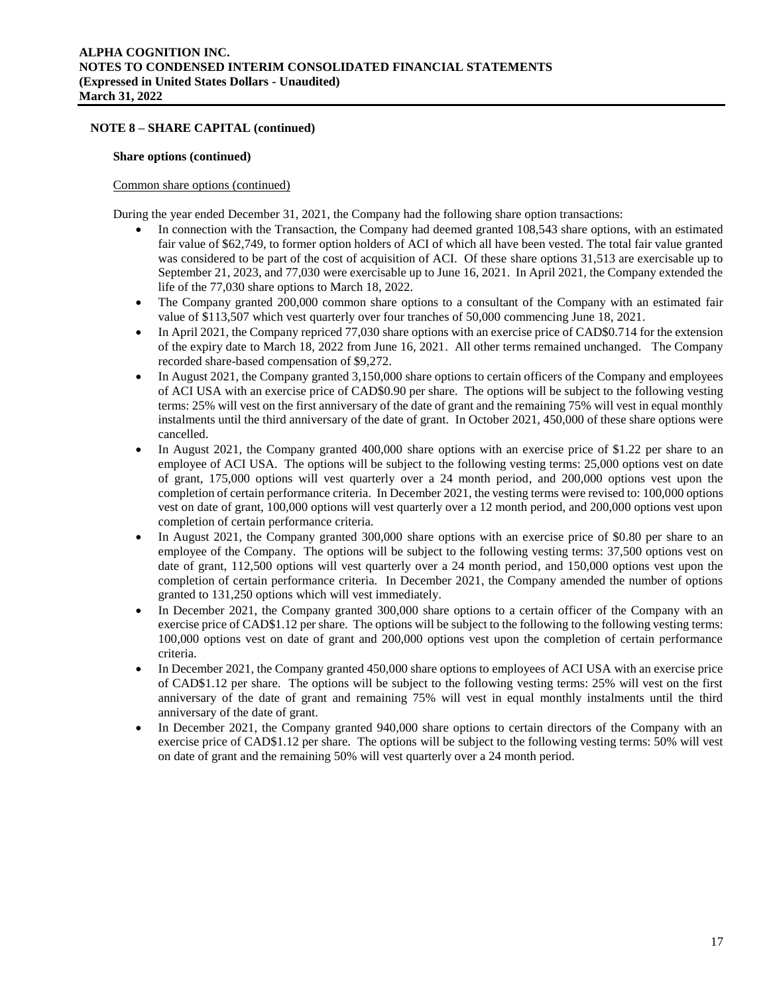#### **Share options (continued)**

#### Common share options (continued)

During the year ended December 31, 2021, the Company had the following share option transactions:

- In connection with the Transaction, the Company had deemed granted 108,543 share options, with an estimated fair value of \$62,749, to former option holders of ACI of which all have been vested. The total fair value granted was considered to be part of the cost of acquisition of ACI. Of these share options 31,513 are exercisable up to September 21, 2023, and 77,030 were exercisable up to June 16, 2021. In April 2021, the Company extended the life of the 77,030 share options to March 18, 2022.
- The Company granted 200,000 common share options to a consultant of the Company with an estimated fair value of \$113,507 which vest quarterly over four tranches of 50,000 commencing June 18, 2021.
- In April 2021, the Company repriced 77,030 share options with an exercise price of CAD\$0.714 for the extension of the expiry date to March 18, 2022 from June 16, 2021. All other terms remained unchanged. The Company recorded share-based compensation of \$9,272.
- In August 2021, the Company granted 3,150,000 share options to certain officers of the Company and employees of ACI USA with an exercise price of CAD\$0.90 per share. The options will be subject to the following vesting terms: 25% will vest on the first anniversary of the date of grant and the remaining 75% will vest in equal monthly instalments until the third anniversary of the date of grant. In October 2021, 450,000 of these share options were cancelled.
- In August 2021, the Company granted 400,000 share options with an exercise price of \$1.22 per share to an employee of ACI USA. The options will be subject to the following vesting terms: 25,000 options vest on date of grant, 175,000 options will vest quarterly over a 24 month period, and 200,000 options vest upon the completion of certain performance criteria. In December 2021, the vesting terms were revised to: 100,000 options vest on date of grant, 100,000 options will vest quarterly over a 12 month period, and 200,000 options vest upon completion of certain performance criteria.
- In August 2021, the Company granted 300,000 share options with an exercise price of \$0.80 per share to an employee of the Company. The options will be subject to the following vesting terms: 37,500 options vest on date of grant, 112,500 options will vest quarterly over a 24 month period, and 150,000 options vest upon the completion of certain performance criteria. In December 2021, the Company amended the number of options granted to 131,250 options which will vest immediately.
- In December 2021, the Company granted 300,000 share options to a certain officer of the Company with an exercise price of CAD\$1.12 per share. The options will be subject to the following to the following vesting terms: 100,000 options vest on date of grant and 200,000 options vest upon the completion of certain performance criteria.
- In December 2021, the Company granted 450,000 share options to employees of ACI USA with an exercise price of CAD\$1.12 per share. The options will be subject to the following vesting terms: 25% will vest on the first anniversary of the date of grant and remaining 75% will vest in equal monthly instalments until the third anniversary of the date of grant.
- In December 2021, the Company granted 940,000 share options to certain directors of the Company with an exercise price of CAD\$1.12 per share. The options will be subject to the following vesting terms: 50% will vest on date of grant and the remaining 50% will vest quarterly over a 24 month period.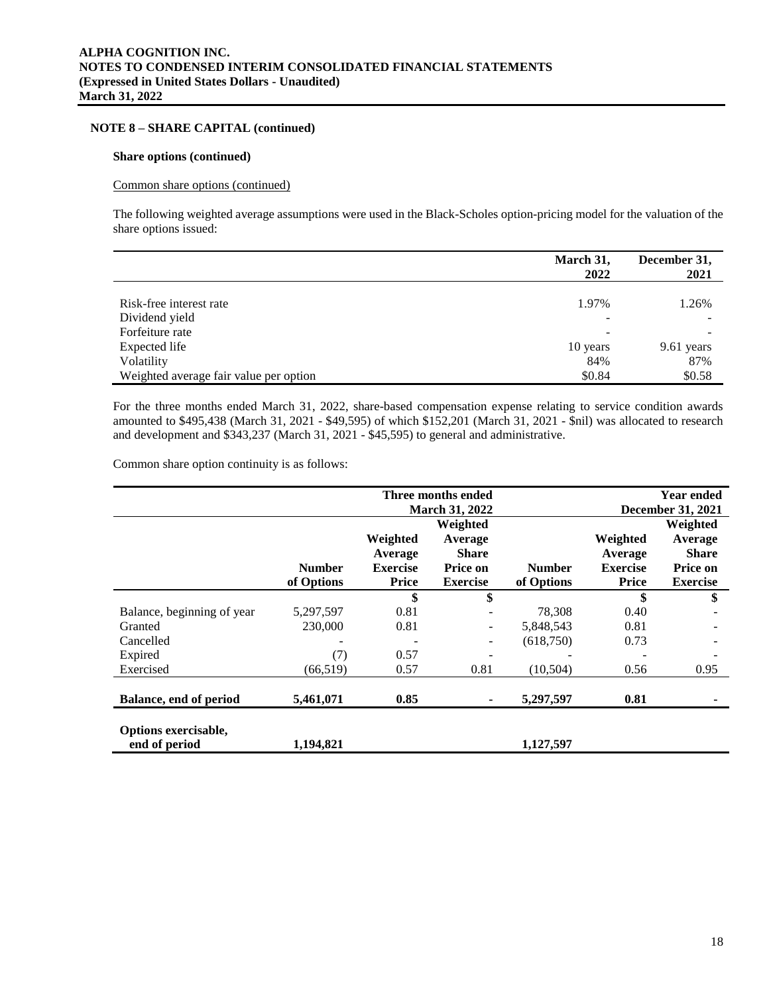#### **Share options (continued)**

#### Common share options (continued)

The following weighted average assumptions were used in the Black-Scholes option-pricing model for the valuation of the share options issued:

|                                        | March 31,<br>2022        | December 31,<br>2021 |
|----------------------------------------|--------------------------|----------------------|
| Risk-free interest rate                | 1.97%                    | 1.26%                |
| Dividend yield                         | -                        |                      |
| Forfeiture rate                        | $\overline{\phantom{a}}$ |                      |
| Expected life                          | 10 years                 | 9.61 years           |
| Volatility                             | 84%                      | 87%                  |
| Weighted average fair value per option | \$0.84                   | \$0.58               |

For the three months ended March 31, 2022, share-based compensation expense relating to service condition awards amounted to \$495,438 (March 31, 2021 - \$49,595) of which \$152,201 (March 31, 2021 - \$nil) was allocated to research and development and \$343,237 (March 31, 2021 - \$45,595) to general and administrative.

Common share option continuity is as follows:

|                                       |               |                 | Three months ended    |               |                 | <b>Year ended</b>        |
|---------------------------------------|---------------|-----------------|-----------------------|---------------|-----------------|--------------------------|
|                                       |               |                 | <b>March 31, 2022</b> |               |                 | <b>December 31, 2021</b> |
|                                       |               |                 | Weighted              |               |                 | Weighted                 |
|                                       |               | Weighted        | Average               |               | Weighted        | Average                  |
|                                       |               | Average         | <b>Share</b>          |               | Average         | <b>Share</b>             |
|                                       | <b>Number</b> | <b>Exercise</b> | Price on              | <b>Number</b> | <b>Exercise</b> | Price on                 |
|                                       | of Options    | Price           | <b>Exercise</b>       | of Options    | <b>Price</b>    | <b>Exercise</b>          |
|                                       |               | \$              | \$                    |               | \$              | \$                       |
| Balance, beginning of year            | 5,297,597     | 0.81            |                       | 78,308        | 0.40            |                          |
| Granted                               | 230,000       | 0.81            |                       | 5,848,543     | 0.81            |                          |
| Cancelled                             |               |                 |                       | (618,750)     | 0.73            |                          |
| Expired                               | (7)           | 0.57            |                       |               |                 |                          |
| Exercised                             | (66, 519)     | 0.57            | 0.81                  | (10, 504)     | 0.56            | 0.95                     |
|                                       |               |                 |                       |               |                 |                          |
| Balance, end of period                | 5,461,071     | 0.85            |                       | 5,297,597     | 0.81            |                          |
| Options exercisable,<br>end of period | 1,194,821     |                 |                       | 1,127,597     |                 |                          |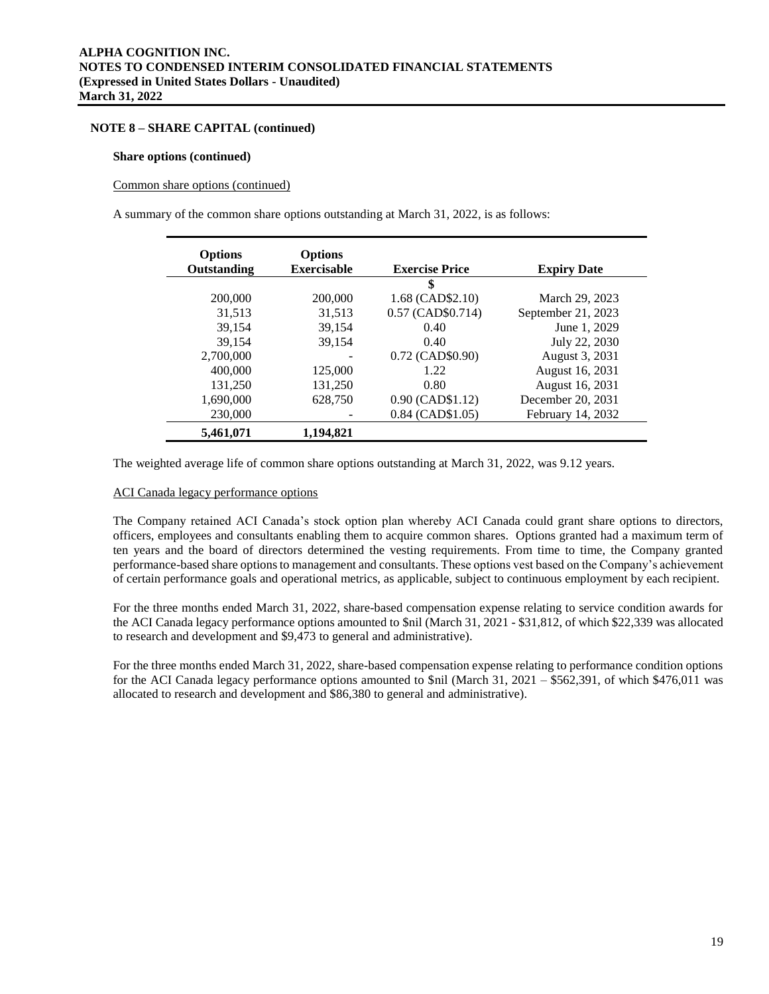#### **Share options (continued)**

#### Common share options (continued)

A summary of the common share options outstanding at March 31, 2022, is as follows:

| <b>Options</b><br>Outstanding | <b>Options</b><br><b>Exercisable</b> | <b>Exercise Price</b> | <b>Expiry Date</b> |
|-------------------------------|--------------------------------------|-----------------------|--------------------|
|                               |                                      | \$                    |                    |
| 200,000                       | 200,000                              | 1.68 (CAD\$2.10)      | March 29, 2023     |
| 31,513                        | 31,513                               | $0.57$ (CAD\$0.714)   | September 21, 2023 |
| 39,154                        | 39,154                               | 0.40                  | June 1, 2029       |
| 39.154                        | 39,154                               | 0.40                  | July 22, 2030      |
| 2,700,000                     |                                      | 0.72 (CAD\$0.90)      | August 3, 2031     |
| 400,000                       | 125,000                              | 1.22.                 | August 16, 2031    |
| 131,250                       | 131,250                              | 0.80                  | August 16, 2031    |
| 1,690,000                     | 628,750                              | 0.90 (CAD\$1.12)      | December 20, 2031  |
| 230,000                       |                                      | $0.84$ (CAD\$1.05)    | February 14, 2032  |
| 5,461,071                     | 1.194.821                            |                       |                    |

The weighted average life of common share options outstanding at March 31, 2022, was 9.12 years.

#### ACI Canada legacy performance options

The Company retained ACI Canada's stock option plan whereby ACI Canada could grant share options to directors, officers, employees and consultants enabling them to acquire common shares. Options granted had a maximum term of ten years and the board of directors determined the vesting requirements. From time to time, the Company granted performance-based share options to management and consultants. These options vest based on the Company's achievement of certain performance goals and operational metrics, as applicable, subject to continuous employment by each recipient.

For the three months ended March 31, 2022, share-based compensation expense relating to service condition awards for the ACI Canada legacy performance options amounted to \$nil (March 31, 2021 - \$31,812, of which \$22,339 was allocated to research and development and \$9,473 to general and administrative).

For the three months ended March 31, 2022, share-based compensation expense relating to performance condition options for the ACI Canada legacy performance options amounted to \$nil (March 31, 2021 – \$562,391, of which \$476,011 was allocated to research and development and \$86,380 to general and administrative).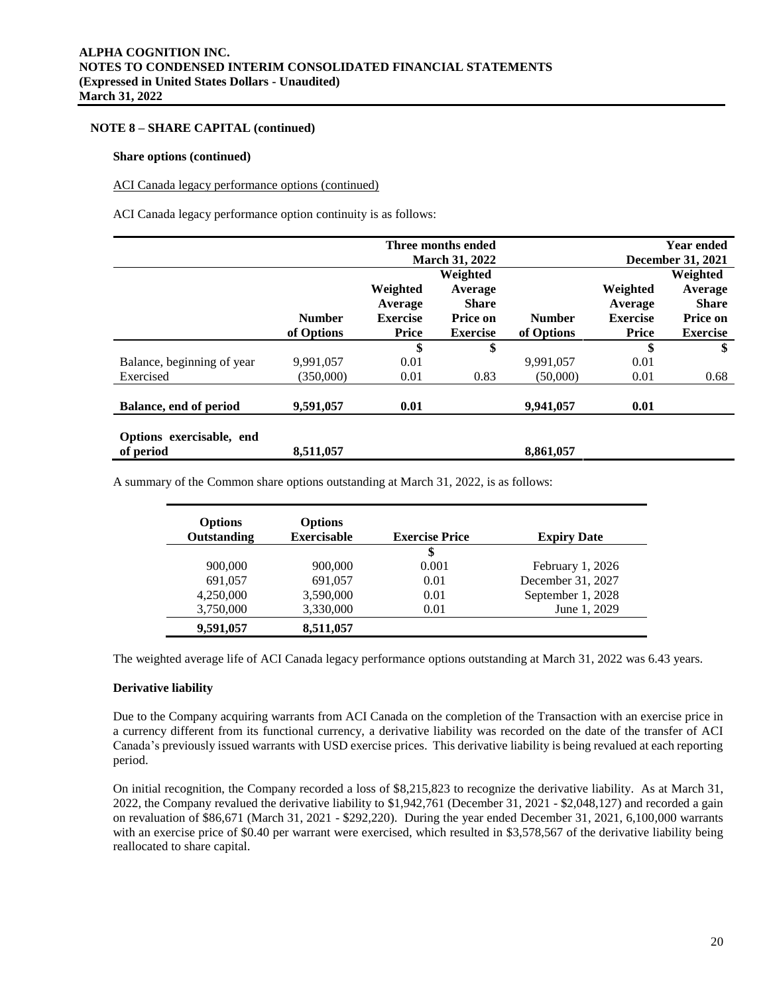#### **Share options (continued)**

#### ACI Canada legacy performance options (continued)

ACI Canada legacy performance option continuity is as follows:

|                            |               |                 | Three months ended    |               |                 | <b>Year ended</b> |
|----------------------------|---------------|-----------------|-----------------------|---------------|-----------------|-------------------|
|                            |               |                 | <b>March 31, 2022</b> |               |                 | December 31, 2021 |
|                            |               |                 | Weighted              |               |                 | Weighted          |
|                            |               | Weighted        | Average               |               | Weighted        | Average           |
|                            |               | Average         | <b>Share</b>          |               | Average         | <b>Share</b>      |
|                            | <b>Number</b> | <b>Exercise</b> | Price on              | <b>Number</b> | <b>Exercise</b> | <b>Price on</b>   |
|                            | of Options    | Price           | <b>Exercise</b>       | of Options    | <b>Price</b>    | <b>Exercise</b>   |
|                            |               | \$              | \$                    |               | \$              | \$                |
| Balance, beginning of year | 9,991,057     | 0.01            |                       | 9.991.057     | 0.01            |                   |
| Exercised                  | (350,000)     | 0.01            | 0.83                  | (50,000)      | 0.01            | 0.68              |
|                            |               |                 |                       |               |                 |                   |
| Balance, end of period     | 9,591,057     | 0.01            |                       | 9,941,057     | 0.01            |                   |
|                            |               |                 |                       |               |                 |                   |
| Options exercisable, end   |               |                 |                       |               |                 |                   |
| of period                  | 8,511,057     |                 |                       | 8,861,057     |                 |                   |

A summary of the Common share options outstanding at March 31, 2022, is as follows:

| <b>Options</b> | <b>Options</b>     |                       |                    |
|----------------|--------------------|-----------------------|--------------------|
| Outstanding    | <b>Exercisable</b> | <b>Exercise Price</b> | <b>Expiry Date</b> |
|                |                    | \$                    |                    |
| 900,000        | 900,000            | 0.001                 | February $1,2026$  |
| 691,057        | 691,057            | 0.01                  | December 31, 2027  |
| 4,250,000      | 3,590,000          | 0.01                  | September 1, 2028  |
| 3,750,000      | 3,330,000          | 0.01                  | June 1, 2029       |
| 9,591,057      | 8,511,057          |                       |                    |

The weighted average life of ACI Canada legacy performance options outstanding at March 31, 2022 was 6.43 years.

#### **Derivative liability**

Due to the Company acquiring warrants from ACI Canada on the completion of the Transaction with an exercise price in a currency different from its functional currency, a derivative liability was recorded on the date of the transfer of ACI Canada's previously issued warrants with USD exercise prices. This derivative liability is being revalued at each reporting period.

On initial recognition, the Company recorded a loss of \$8,215,823 to recognize the derivative liability. As at March 31, 2022, the Company revalued the derivative liability to \$1,942,761 (December 31, 2021 - \$2,048,127) and recorded a gain on revaluation of \$86,671 (March 31, 2021 - \$292,220). During the year ended December 31, 2021, 6,100,000 warrants with an exercise price of \$0.40 per warrant were exercised, which resulted in \$3,578,567 of the derivative liability being reallocated to share capital.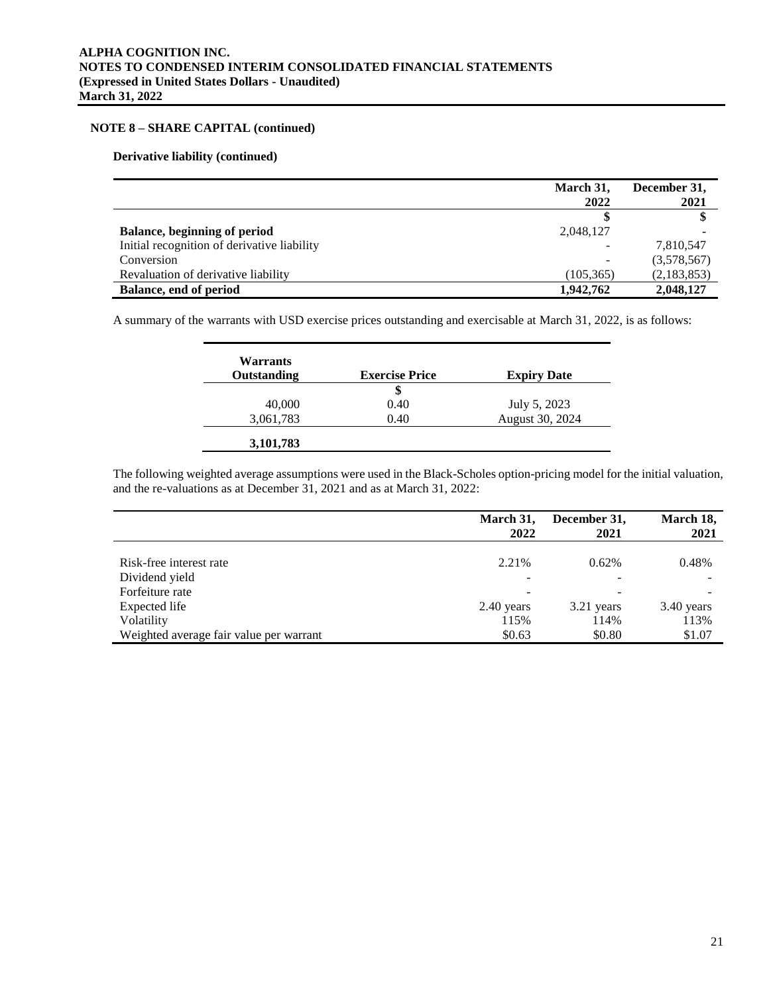# **Derivative liability (continued)**

|                                             | March 31,  | December 31, |
|---------------------------------------------|------------|--------------|
|                                             | 2022       | 2021         |
|                                             |            |              |
| Balance, beginning of period                | 2,048,127  |              |
| Initial recognition of derivative liability |            | 7,810,547    |
| Conversion                                  |            | (3,578,567)  |
| Revaluation of derivative liability         | (105, 365) | (2,183,853)  |
| <b>Balance, end of period</b>               | 1,942,762  | 2,048,127    |

A summary of the warrants with USD exercise prices outstanding and exercisable at March 31, 2022, is as follows:

| Warrants<br>Outstanding | <b>Exercise Price</b> | <b>Expiry Date</b> |
|-------------------------|-----------------------|--------------------|
|                         | \$                    |                    |
| 40,000                  | 0.40                  | July 5, 2023       |
| 3,061,783               | 0.40                  | August 30, 2024    |

The following weighted average assumptions were used in the Black-Scholes option-pricing model for the initial valuation, and the re-valuations as at December 31, 2021 and as at March 31, 2022:

|                                         | March 31,<br>2022 | December 31,<br>2021 | March 18,<br>2021 |
|-----------------------------------------|-------------------|----------------------|-------------------|
| Risk-free interest rate                 | 2.21%             | 0.62%                | 0.48%             |
| Dividend yield                          |                   |                      |                   |
| Forfeiture rate                         |                   |                      |                   |
| Expected life                           | $2.40$ years      | 3.21 years           | 3.40 years        |
| Volatility                              | 115%              | 114%                 | 113%              |
| Weighted average fair value per warrant | \$0.63            | \$0.80               | \$1.07            |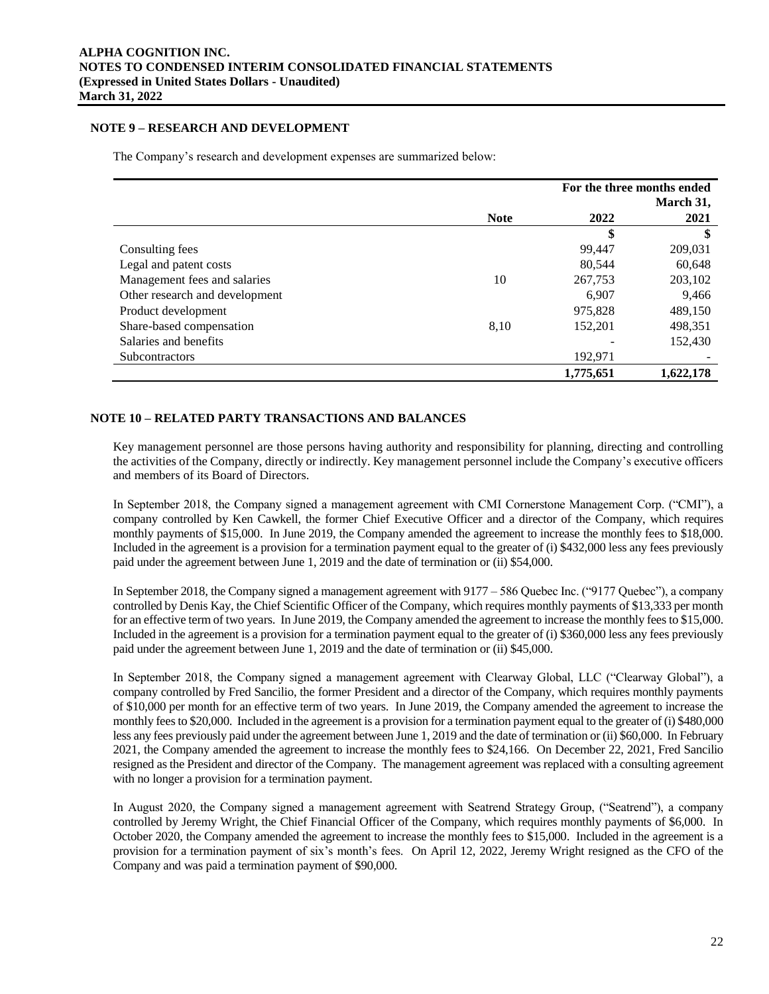# **NOTE 9 – RESEARCH AND DEVELOPMENT**

The Company's research and development expenses are summarized below:

|                                |             | For the three months ended |           |  |
|--------------------------------|-------------|----------------------------|-----------|--|
|                                |             |                            | March 31, |  |
|                                | <b>Note</b> | 2022                       | 2021      |  |
|                                |             | \$                         | \$        |  |
| Consulting fees                |             | 99,447                     | 209,031   |  |
| Legal and patent costs         |             | 80,544                     | 60,648    |  |
| Management fees and salaries   | 10          | 267,753                    | 203,102   |  |
| Other research and development |             | 6.907                      | 9,466     |  |
| Product development            |             | 975,828                    | 489,150   |  |
| Share-based compensation       | 8,10        | 152,201                    | 498,351   |  |
| Salaries and benefits          |             |                            | 152,430   |  |
| <b>Subcontractors</b>          |             | 192,971                    |           |  |
|                                |             | 1,775,651                  | 1,622,178 |  |

# **NOTE 10 – RELATED PARTY TRANSACTIONS AND BALANCES**

Key management personnel are those persons having authority and responsibility for planning, directing and controlling the activities of the Company, directly or indirectly. Key management personnel include the Company's executive officers and members of its Board of Directors.

In September 2018, the Company signed a management agreement with CMI Cornerstone Management Corp. ("CMI"), a company controlled by Ken Cawkell, the former Chief Executive Officer and a director of the Company, which requires monthly payments of \$15,000. In June 2019, the Company amended the agreement to increase the monthly fees to \$18,000. Included in the agreement is a provision for a termination payment equal to the greater of (i) \$432,000 less any fees previously paid under the agreement between June 1, 2019 and the date of termination or (ii) \$54,000.

In September 2018, the Company signed a management agreement with 9177 – 586 Quebec Inc. ("9177 Quebec"), a company controlled by Denis Kay, the Chief Scientific Officer of the Company, which requires monthly payments of \$13,333 per month for an effective term of two years. In June 2019, the Company amended the agreement to increase the monthly fees to \$15,000. Included in the agreement is a provision for a termination payment equal to the greater of (i) \$360,000 less any fees previously paid under the agreement between June 1, 2019 and the date of termination or (ii) \$45,000.

In September 2018, the Company signed a management agreement with Clearway Global, LLC ("Clearway Global"), a company controlled by Fred Sancilio, the former President and a director of the Company, which requires monthly payments of \$10,000 per month for an effective term of two years. In June 2019, the Company amended the agreement to increase the monthly fees to \$20,000. Included in the agreement is a provision for a termination payment equal to the greater of (i) \$480,000 less any fees previously paid under the agreement between June 1, 2019 and the date of termination or (ii) \$60,000. In February 2021, the Company amended the agreement to increase the monthly fees to \$24,166. On December 22, 2021, Fred Sancilio resigned as the President and director of the Company. The management agreement was replaced with a consulting agreement with no longer a provision for a termination payment.

In August 2020, the Company signed a management agreement with Seatrend Strategy Group, ("Seatrend"), a company controlled by Jeremy Wright, the Chief Financial Officer of the Company, which requires monthly payments of \$6,000. In October 2020, the Company amended the agreement to increase the monthly fees to \$15,000. Included in the agreement is a provision for a termination payment of six's month's fees. On April 12, 2022, Jeremy Wright resigned as the CFO of the Company and was paid a termination payment of \$90,000.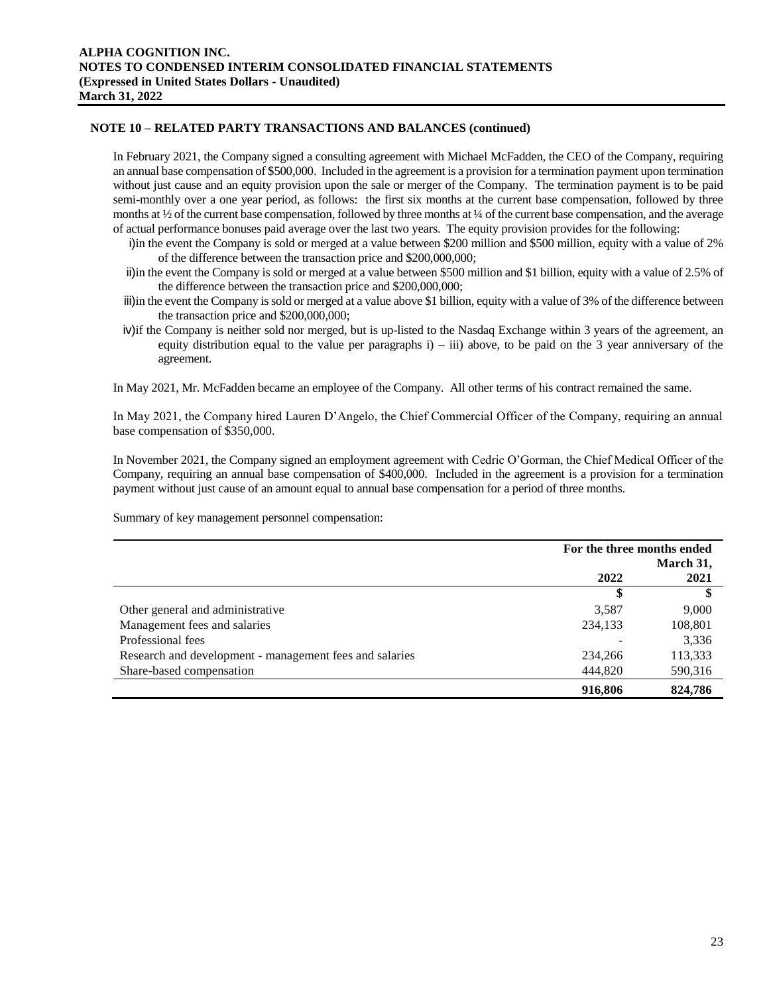# **NOTE 10 – RELATED PARTY TRANSACTIONS AND BALANCES (continued)**

In February 2021, the Company signed a consulting agreement with Michael McFadden, the CEO of the Company, requiring an annual base compensation of \$500,000. Included in the agreement is a provision for a termination payment upon termination without just cause and an equity provision upon the sale or merger of the Company. The termination payment is to be paid semi-monthly over a one year period, as follows: the first six months at the current base compensation, followed by three months at  $\frac{1}{2}$  of the current base compensation, followed by three months at  $\frac{1}{4}$  of the current base compensation, and the average of actual performance bonuses paid average over the last two years. The equity provision provides for the following:

- i)in the event the Company is sold or merged at a value between \$200 million and \$500 million, equity with a value of 2% of the difference between the transaction price and \$200,000,000;
- ii)in the event the Company is sold or merged at a value between \$500 million and \$1 billion, equity with a value of 2.5% of the difference between the transaction price and \$200,000,000;
- iii)in the event the Company is sold or merged at a value above \$1 billion, equity with a value of 3% of the difference between the transaction price and \$200,000,000;
- iv)if the Company is neither sold nor merged, but is up-listed to the Nasdaq Exchange within 3 years of the agreement, an equity distribution equal to the value per paragraphs  $i$ ) – iii) above, to be paid on the 3 year anniversary of the agreement.

In May 2021, Mr. McFadden became an employee of the Company. All other terms of his contract remained the same.

In May 2021, the Company hired Lauren D'Angelo, the Chief Commercial Officer of the Company, requiring an annual base compensation of \$350,000.

In November 2021, the Company signed an employment agreement with Cedric O'Gorman, the Chief Medical Officer of the Company, requiring an annual base compensation of \$400,000. Included in the agreement is a provision for a termination payment without just cause of an amount equal to annual base compensation for a period of three months.

Summary of key management personnel compensation:

|                                                         | For the three months ended<br>March 31, |         |
|---------------------------------------------------------|-----------------------------------------|---------|
|                                                         | 2022                                    | 2021    |
|                                                         |                                         | \$      |
| Other general and administrative                        | 3,587                                   | 9,000   |
| Management fees and salaries                            | 234,133                                 | 108,801 |
| Professional fees                                       |                                         | 3,336   |
| Research and development - management fees and salaries | 234,266                                 | 113,333 |
| Share-based compensation                                | 444,820                                 | 590,316 |
|                                                         | 916,806                                 | 824,786 |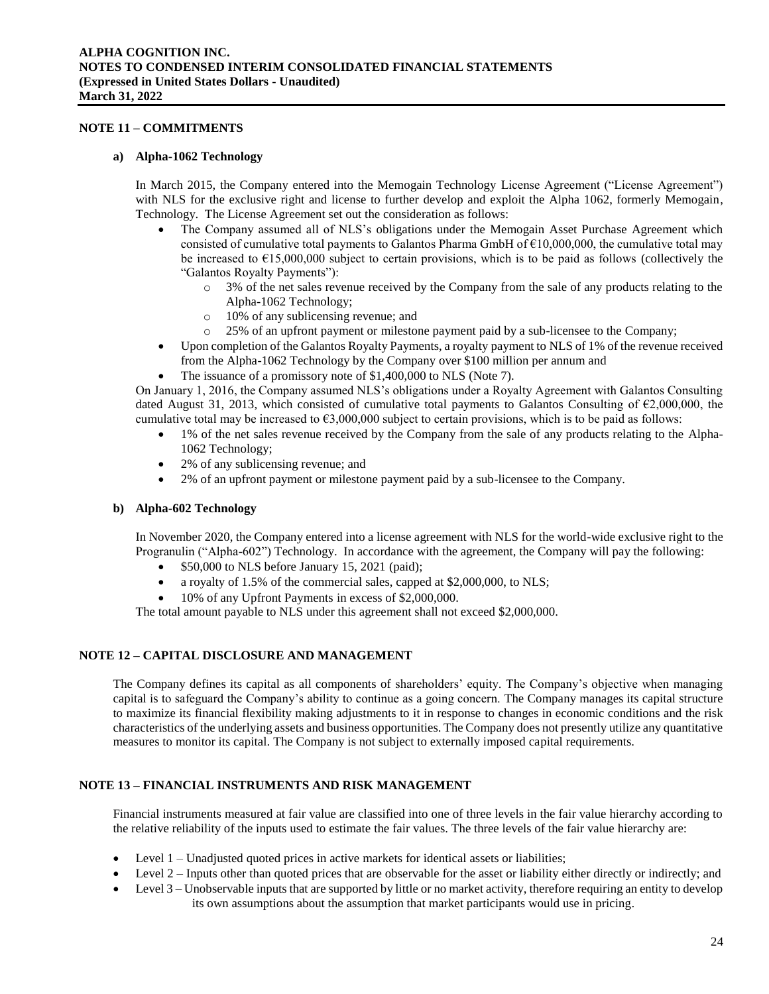# **NOTE 11 – COMMITMENTS**

#### **a) Alpha-1062 Technology**

In March 2015, the Company entered into the Memogain Technology License Agreement ("License Agreement") with NLS for the exclusive right and license to further develop and exploit the Alpha 1062, formerly Memogain, Technology. The License Agreement set out the consideration as follows:

- The Company assumed all of NLS's obligations under the Memogain Asset Purchase Agreement which consisted of cumulative total payments to Galantos Pharma GmbH of  $E10,000,000$ , the cumulative total may be increased to  $\epsilon$ 15,000,000 subject to certain provisions, which is to be paid as follows (collectively the "Galantos Royalty Payments"):
	- o 3% of the net sales revenue received by the Company from the sale of any products relating to the Alpha-1062 Technology;
	- o 10% of any sublicensing revenue; and
	- o 25% of an upfront payment or milestone payment paid by a sub-licensee to the Company;
- Upon completion of the Galantos Royalty Payments, a royalty payment to NLS of 1% of the revenue received from the Alpha-1062 Technology by the Company over \$100 million per annum and
- The issuance of a promissory note of \$1,400,000 to NLS (Note 7).

On January 1, 2016, the Company assumed NLS's obligations under a Royalty Agreement with Galantos Consulting dated August 31, 2013, which consisted of cumulative total payments to Galantos Consulting of €2,000,000, the cumulative total may be increased to  $\epsilon$ 3,000,000 subject to certain provisions, which is to be paid as follows:

- 1% of the net sales revenue received by the Company from the sale of any products relating to the Alpha-1062 Technology;
- 2% of any sublicensing revenue; and
- 2% of an upfront payment or milestone payment paid by a sub-licensee to the Company.

#### **b) Alpha-602 Technology**

In November 2020, the Company entered into a license agreement with NLS for the world-wide exclusive right to the Progranulin ("Alpha-602") Technology. In accordance with the agreement, the Company will pay the following:

- \$50,000 to NLS before January 15, 2021 (paid);
- a royalty of 1.5% of the commercial sales, capped at \$2,000,000, to NLS;
- 10% of any Upfront Payments in excess of \$2,000,000.

The total amount payable to NLS under this agreement shall not exceed \$2,000,000.

# **NOTE 12 – CAPITAL DISCLOSURE AND MANAGEMENT**

The Company defines its capital as all components of shareholders' equity. The Company's objective when managing capital is to safeguard the Company's ability to continue as a going concern. The Company manages its capital structure to maximize its financial flexibility making adjustments to it in response to changes in economic conditions and the risk characteristics of the underlying assets and business opportunities. The Company does not presently utilize any quantitative measures to monitor its capital. The Company is not subject to externally imposed capital requirements.

# **NOTE 13 – FINANCIAL INSTRUMENTS AND RISK MANAGEMENT**

Financial instruments measured at fair value are classified into one of three levels in the fair value hierarchy according to the relative reliability of the inputs used to estimate the fair values. The three levels of the fair value hierarchy are:

- Level 1 Unadjusted quoted prices in active markets for identical assets or liabilities;
- Level 2 Inputs other than quoted prices that are observable for the asset or liability either directly or indirectly; and
- Level 3 Unobservable inputs that are supported by little or no market activity, therefore requiring an entity to develop its own assumptions about the assumption that market participants would use in pricing.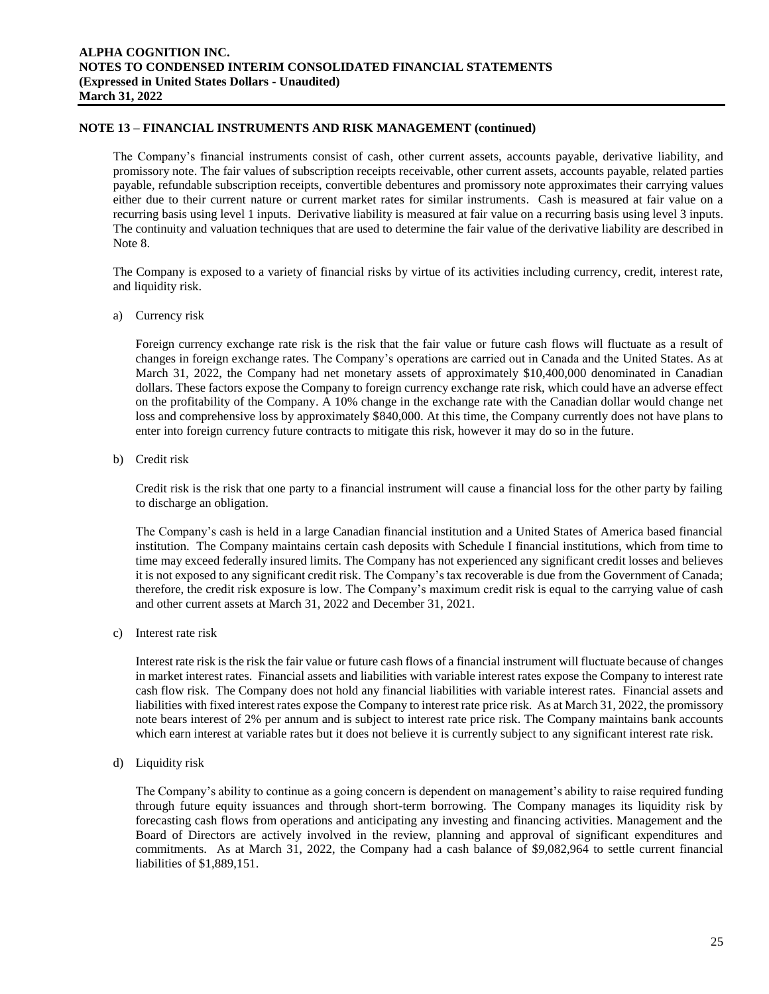# **NOTE 13 – FINANCIAL INSTRUMENTS AND RISK MANAGEMENT (continued)**

The Company's financial instruments consist of cash, other current assets, accounts payable, derivative liability, and promissory note. The fair values of subscription receipts receivable, other current assets, accounts payable, related parties payable, refundable subscription receipts, convertible debentures and promissory note approximates their carrying values either due to their current nature or current market rates for similar instruments. Cash is measured at fair value on a recurring basis using level 1 inputs. Derivative liability is measured at fair value on a recurring basis using level 3 inputs. The continuity and valuation techniques that are used to determine the fair value of the derivative liability are described in Note 8.

The Company is exposed to a variety of financial risks by virtue of its activities including currency, credit, interest rate, and liquidity risk.

a) Currency risk

Foreign currency exchange rate risk is the risk that the fair value or future cash flows will fluctuate as a result of changes in foreign exchange rates. The Company's operations are carried out in Canada and the United States. As at March 31, 2022, the Company had net monetary assets of approximately \$10,400,000 denominated in Canadian dollars. These factors expose the Company to foreign currency exchange rate risk, which could have an adverse effect on the profitability of the Company. A 10% change in the exchange rate with the Canadian dollar would change net loss and comprehensive loss by approximately \$840,000. At this time, the Company currently does not have plans to enter into foreign currency future contracts to mitigate this risk, however it may do so in the future.

b) Credit risk

Credit risk is the risk that one party to a financial instrument will cause a financial loss for the other party by failing to discharge an obligation.

The Company's cash is held in a large Canadian financial institution and a United States of America based financial institution. The Company maintains certain cash deposits with Schedule I financial institutions, which from time to time may exceed federally insured limits. The Company has not experienced any significant credit losses and believes it is not exposed to any significant credit risk. The Company's tax recoverable is due from the Government of Canada; therefore, the credit risk exposure is low. The Company's maximum credit risk is equal to the carrying value of cash and other current assets at March 31, 2022 and December 31, 2021.

c) Interest rate risk

Interest rate risk is the risk the fair value or future cash flows of a financial instrument will fluctuate because of changes in market interest rates. Financial assets and liabilities with variable interest rates expose the Company to interest rate cash flow risk. The Company does not hold any financial liabilities with variable interest rates. Financial assets and liabilities with fixed interest rates expose the Company to interest rate price risk. As at March 31, 2022, the promissory note bears interest of 2% per annum and is subject to interest rate price risk. The Company maintains bank accounts which earn interest at variable rates but it does not believe it is currently subject to any significant interest rate risk.

d) Liquidity risk

The Company's ability to continue as a going concern is dependent on management's ability to raise required funding through future equity issuances and through short-term borrowing. The Company manages its liquidity risk by forecasting cash flows from operations and anticipating any investing and financing activities. Management and the Board of Directors are actively involved in the review, planning and approval of significant expenditures and commitments. As at March 31, 2022, the Company had a cash balance of \$9,082,964 to settle current financial liabilities of \$1,889,151.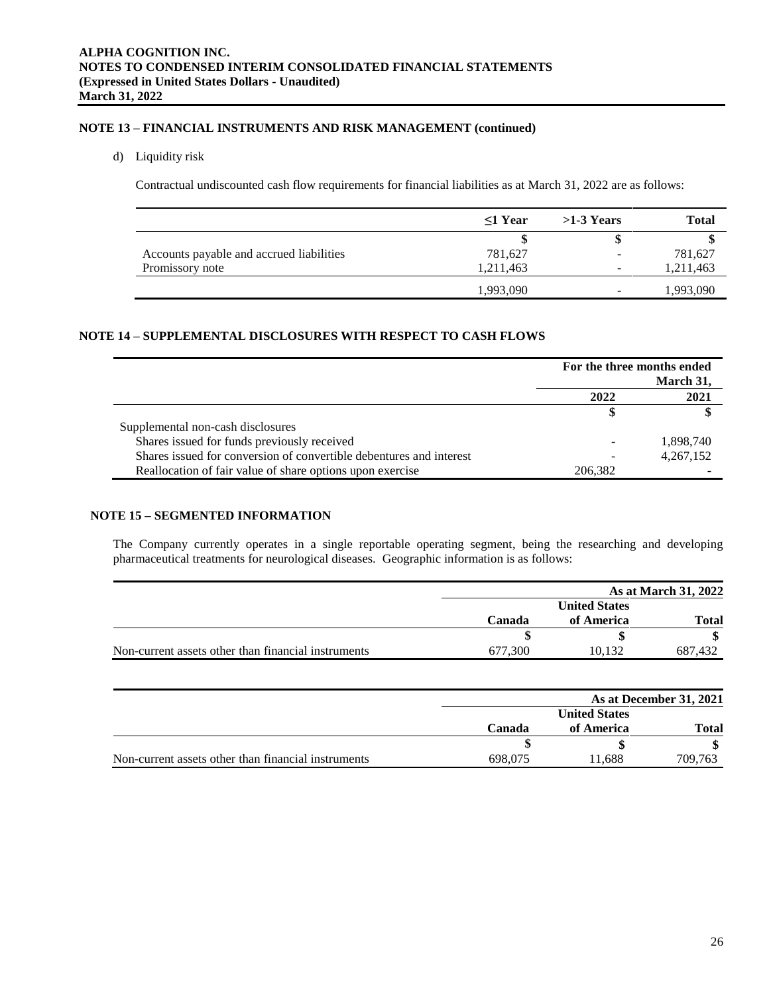# **NOTE 13 – FINANCIAL INSTRUMENTS AND RISK MANAGEMENT (continued)**

# d) Liquidity risk

Contractual undiscounted cash flow requirements for financial liabilities as at March 31, 2022 are as follows:

|                                          | $\leq$ 1 Year | $>1-3$ Years | Total     |
|------------------------------------------|---------------|--------------|-----------|
|                                          |               |              |           |
| Accounts payable and accrued liabilities | 781,627       | -            | 781,627   |
| Promissory note                          | 1,211,463     | -            | 1,211,463 |
|                                          | .993,090      | -            | 1,993,090 |

# **NOTE 14 – SUPPLEMENTAL DISCLOSURES WITH RESPECT TO CASH FLOWS**

|                                                                     | For the three months ended<br>March 31, |           |
|---------------------------------------------------------------------|-----------------------------------------|-----------|
|                                                                     | 2022                                    | 2021      |
|                                                                     |                                         |           |
| Supplemental non-cash disclosures                                   |                                         |           |
| Shares issued for funds previously received                         |                                         | 1,898,740 |
| Shares issued for conversion of convertible debentures and interest |                                         | 4,267,152 |
| Reallocation of fair value of share options upon exercise           | 206.382                                 |           |

# **NOTE 15 – SEGMENTED INFORMATION**

The Company currently operates in a single reportable operating segment, being the researching and developing pharmaceutical treatments for neurological diseases. Geographic information is as follows:

|                                                     |         | As at March 31, 2022 |         |  |
|-----------------------------------------------------|---------|----------------------|---------|--|
|                                                     |         | <b>United States</b> |         |  |
|                                                     | Canada  | of America           | Total   |  |
|                                                     |         |                      |         |  |
| Non-current assets other than financial instruments | 677.300 | 10.132               | 687.432 |  |

|                                                     |         | As at December 31, 2021 |              |  |
|-----------------------------------------------------|---------|-------------------------|--------------|--|
|                                                     |         | <b>United States</b>    |              |  |
|                                                     | Canada  | of America              | <b>Total</b> |  |
|                                                     |         |                         |              |  |
| Non-current assets other than financial instruments | 698,075 | 1.688                   | 709.763      |  |